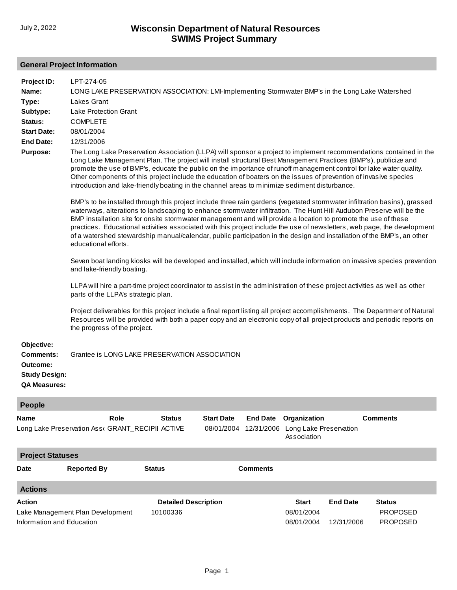# **General Project Information**

| Project ID:<br>Name:<br>Type:<br>Subtype:<br>Status:<br><b>Start Date:</b><br><b>End Date:</b><br><b>Purpose:</b> | LPT-274-05<br><b>Lakes Grant</b><br><b>Lake Protection Grant</b><br><b>COMPLETE</b><br>08/01/2004<br>12/31/2006<br>educational efforts.<br>and lake-friendly boating.<br>parts of the LLPA's strategic plan.<br>the progress of the project. | LONG LAKE PRESERVATION ASSOCIATION: LMI-Implementing Stormwater BMP's in the Long Lake Watershed<br>The Long Lake Preservation Association (LLPA) will sponsor a project to implement recommendations contained in the<br>Long Lake Management Plan. The project will install structural Best Management Practices (BMP's), publicize and<br>promote the use of BMP's, educate the public on the importance of runoff management control for lake water quality.<br>Other components of this project include the education of boaters on the issues of prevention of invasive species<br>introduction and lake-friendly boating in the channel areas to minimize sediment disturbance.<br>BMP's to be installed through this project include three rain gardens (vegetated stormwater infiltration basins), grassed<br>waterways, alterations to landscaping to enhance stormwater infiltration. The Hunt Hill Audubon Preserve will be the<br>BMP installation site for onsite stormwater management and will provide a location to promote the use of these<br>practices. Educational activities associated with this project include the use of newsletters, web page, the development<br>of a watershed stewardship manual/calendar, public participation in the design and installation of the BMP's, an other<br>Seven boat landing kiosks will be developed and installed, which will include information on invasive species prevention<br>LLPA will hire a part-time project coordinator to assist in the administration of these project activities as well as other<br>Project deliverables for this project include a final report listing all project accomplishments. The Department of Natural<br>Resources will be provided with both a paper copy and an electronic copy of all project products and periodic reports on |                   |                                          |                                                       |                               |                                              |  |
|-------------------------------------------------------------------------------------------------------------------|----------------------------------------------------------------------------------------------------------------------------------------------------------------------------------------------------------------------------------------------|-------------------------------------------------------------------------------------------------------------------------------------------------------------------------------------------------------------------------------------------------------------------------------------------------------------------------------------------------------------------------------------------------------------------------------------------------------------------------------------------------------------------------------------------------------------------------------------------------------------------------------------------------------------------------------------------------------------------------------------------------------------------------------------------------------------------------------------------------------------------------------------------------------------------------------------------------------------------------------------------------------------------------------------------------------------------------------------------------------------------------------------------------------------------------------------------------------------------------------------------------------------------------------------------------------------------------------------------------------------------------------------------------------------------------------------------------------------------------------------------------------------------------------------------------------------------------------------------------------------------------------------------------------------------------------------------------------------------------------------------------------------------------------------------------------------------------------------------|-------------------|------------------------------------------|-------------------------------------------------------|-------------------------------|----------------------------------------------|--|
| Objective:<br><b>Comments:</b><br>Outcome:<br><b>Study Design:</b><br><b>QA Measures:</b>                         |                                                                                                                                                                                                                                              | Grantee is LONG LAKE PRESERVATION ASSOCIATION                                                                                                                                                                                                                                                                                                                                                                                                                                                                                                                                                                                                                                                                                                                                                                                                                                                                                                                                                                                                                                                                                                                                                                                                                                                                                                                                                                                                                                                                                                                                                                                                                                                                                                                                                                                             |                   |                                          |                                                       |                               |                                              |  |
| <b>People</b>                                                                                                     |                                                                                                                                                                                                                                              |                                                                                                                                                                                                                                                                                                                                                                                                                                                                                                                                                                                                                                                                                                                                                                                                                                                                                                                                                                                                                                                                                                                                                                                                                                                                                                                                                                                                                                                                                                                                                                                                                                                                                                                                                                                                                                           |                   |                                          |                                                       |                               |                                              |  |
| <b>Name</b>                                                                                                       | Role<br>Long Lake Preservation Ass GRANT_RECIPII ACTIVE                                                                                                                                                                                      | <b>Status</b>                                                                                                                                                                                                                                                                                                                                                                                                                                                                                                                                                                                                                                                                                                                                                                                                                                                                                                                                                                                                                                                                                                                                                                                                                                                                                                                                                                                                                                                                                                                                                                                                                                                                                                                                                                                                                             | <b>Start Date</b> | <b>End Date</b><br>08/01/2004 12/31/2006 | Organization<br>Long Lake Preservation<br>Association |                               | <b>Comments</b>                              |  |
| <b>Project Statuses</b>                                                                                           |                                                                                                                                                                                                                                              |                                                                                                                                                                                                                                                                                                                                                                                                                                                                                                                                                                                                                                                                                                                                                                                                                                                                                                                                                                                                                                                                                                                                                                                                                                                                                                                                                                                                                                                                                                                                                                                                                                                                                                                                                                                                                                           |                   |                                          |                                                       |                               |                                              |  |
| Date                                                                                                              | <b>Reported By</b>                                                                                                                                                                                                                           | <b>Status</b>                                                                                                                                                                                                                                                                                                                                                                                                                                                                                                                                                                                                                                                                                                                                                                                                                                                                                                                                                                                                                                                                                                                                                                                                                                                                                                                                                                                                                                                                                                                                                                                                                                                                                                                                                                                                                             |                   | <b>Comments</b>                          |                                                       |                               |                                              |  |
| <b>Actions</b>                                                                                                    |                                                                                                                                                                                                                                              |                                                                                                                                                                                                                                                                                                                                                                                                                                                                                                                                                                                                                                                                                                                                                                                                                                                                                                                                                                                                                                                                                                                                                                                                                                                                                                                                                                                                                                                                                                                                                                                                                                                                                                                                                                                                                                           |                   |                                          |                                                       |                               |                                              |  |
| Action<br>Information and Education                                                                               | Lake Management Plan Development                                                                                                                                                                                                             | <b>Detailed Description</b><br>10100336                                                                                                                                                                                                                                                                                                                                                                                                                                                                                                                                                                                                                                                                                                                                                                                                                                                                                                                                                                                                                                                                                                                                                                                                                                                                                                                                                                                                                                                                                                                                                                                                                                                                                                                                                                                                   |                   |                                          | <b>Start</b><br>08/01/2004<br>08/01/2004              | <b>End Date</b><br>12/31/2006 | <b>Status</b><br><b>PROPOSED</b><br>PROPOSED |  |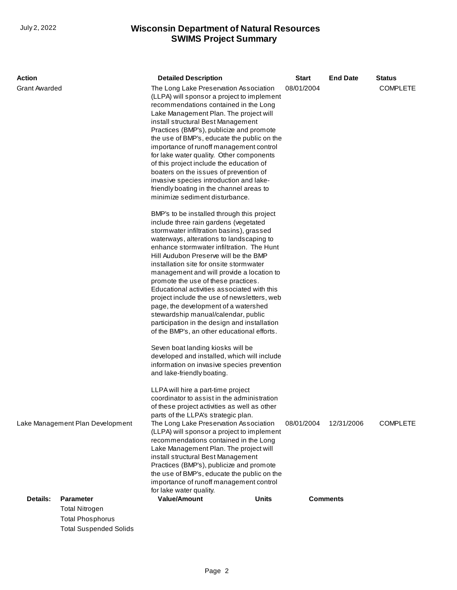| Action        |                                  | <b>Detailed Description</b>                                                                                                                                                                                                                                                                                                                                                                                                                                                                                                                                                                                                                                                  | Start      | <b>End Date</b> | <b>Status</b>   |
|---------------|----------------------------------|------------------------------------------------------------------------------------------------------------------------------------------------------------------------------------------------------------------------------------------------------------------------------------------------------------------------------------------------------------------------------------------------------------------------------------------------------------------------------------------------------------------------------------------------------------------------------------------------------------------------------------------------------------------------------|------------|-----------------|-----------------|
| Grant Awarded |                                  | The Long Lake Preservation Association<br>(LLPA) will sponsor a project to implement<br>recommendations contained in the Long<br>Lake Management Plan. The project will<br>install structural Best Management<br>Practices (BMP's), publicize and promote<br>the use of BMP's, educate the public on the<br>importance of runoff management control<br>for lake water quality. Other components<br>of this project include the education of<br>boaters on the issues of prevention of<br>invasive species introduction and lake-<br>friendly boating in the channel areas to<br>minimize sediment disturbance.                                                               | 08/01/2004 |                 | <b>COMPLETE</b> |
|               |                                  | BMP's to be installed through this project<br>include three rain gardens (vegetated<br>stormwater infiltration basins), grassed<br>waterways, alterations to landscaping to<br>enhance stormwater infiltration. The Hunt<br>Hill Audubon Preserve will be the BMP<br>installation site for onsite stormwater<br>management and will provide a location to<br>promote the use of these practices.<br>Educational activities associated with this<br>project include the use of newsletters, web<br>page, the development of a watershed<br>stewardship manual/calendar, public<br>participation in the design and installation<br>of the BMP's, an other educational efforts. |            |                 |                 |
|               |                                  | Seven boat landing kiosks will be<br>developed and installed, which will include<br>information on invasive species prevention<br>and lake-friendly boating.<br>LLPA will hire a part-time project<br>coordinator to assist in the administration<br>of these project activities as well as other                                                                                                                                                                                                                                                                                                                                                                            |            |                 |                 |
|               | Lake Management Plan Development | parts of the LLPA's strategic plan.<br>The Long Lake Preservation Association<br>(LLPA) will sponsor a project to implement<br>recommendations contained in the Long<br>Lake Management Plan. The project will<br>install structural Best Management<br>Practices (BMP's), publicize and promote<br>the use of BMP's, educate the public on the<br>importance of runoff management control<br>for lake water quality.                                                                                                                                                                                                                                                        | 08/01/2004 | 12/31/2006      | <b>COMPLETE</b> |
| Details:      | <b>Parameter</b>                 | <b>Value/Amount</b><br><b>Units</b>                                                                                                                                                                                                                                                                                                                                                                                                                                                                                                                                                                                                                                          |            | <b>Comments</b> |                 |
|               | <b>Total Nitrogen</b>            |                                                                                                                                                                                                                                                                                                                                                                                                                                                                                                                                                                                                                                                                              |            |                 |                 |
|               | <b>Total Phosphorus</b>          |                                                                                                                                                                                                                                                                                                                                                                                                                                                                                                                                                                                                                                                                              |            |                 |                 |
|               | <b>Total Suspended Solids</b>    |                                                                                                                                                                                                                                                                                                                                                                                                                                                                                                                                                                                                                                                                              |            |                 |                 |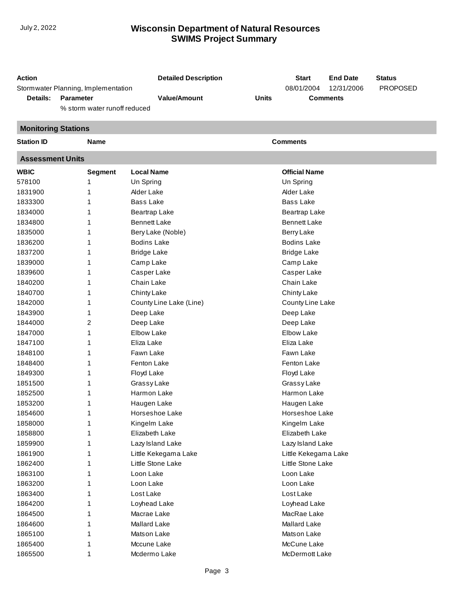| Stormwater Planning, Implementation<br>Details:<br><b>Value/Amount</b><br><b>Units</b><br><b>Parameter</b><br><b>Comments</b><br>% storm water runoff reduced<br><b>Monitoring Stations</b><br><b>Station ID</b><br><b>Comments</b><br>Name<br><b>Assessment Units</b><br><b>Official Name</b><br><b>WBIC</b><br><b>Local Name</b><br><b>Segment</b><br>578100<br>Un Spring<br>Un Spring<br>Alder Lake<br>Alder Lake<br>1831900<br><b>Bass Lake</b><br><b>Bass Lake</b><br>1833300<br>Beartrap Lake<br>1834000<br><b>Beartrap Lake</b><br><b>Bennett Lake</b><br><b>Bennett Lake</b><br>1834800<br>1835000<br>Bery Lake (Noble)<br><b>Berry Lake</b><br>1<br>1836200<br><b>Bodins Lake</b><br><b>Bodins Lake</b><br>1837200<br><b>Bridge Lake</b><br><b>Bridge Lake</b><br>Camp Lake<br>1839000<br>Camp Lake<br>Casper Lake<br>Casper Lake<br>1839600<br>1<br>Chain Lake<br>Chain Lake<br>1840200<br>Chinty Lake<br>1840700<br>Chinty Lake<br>1<br>County Line Lake (Line)<br>1842000<br>County Line Lake<br>1843900<br>Deep Lake<br>Deep Lake<br>1844000<br>2<br>Deep Lake<br>Deep Lake<br>1847000<br><b>Elbow Lake</b><br>Elbow Lake<br>1<br>Eliza Lake<br>Eliza Lake<br>1847100<br>Fawn Lake<br>Fawn Lake<br>1848100<br>1<br>Fenton Lake<br>Fenton Lake<br>1848400<br>1<br>1849300<br>Floyd Lake<br>Floyd Lake<br>1851500<br>Grassy Lake<br>Grassy Lake<br>Harmon Lake<br>Harmon Lake<br>1852500<br>1<br>1853200<br>Haugen Lake<br>Haugen Lake<br>1854600<br>Horseshoe Lake<br>1<br>Horseshoe Lake<br>1858000<br>Kingelm Lake<br>Kingelm Lake<br>1858800<br>Elizabeth Lake<br>Elizabeth Lake<br>1859900<br>Lazy Island Lake<br>Lazy Island Lake<br>Little Kekegama Lake<br>Little Kekegama Lake<br>1861900<br>Little Stone Lake<br>Little Stone Lake<br>1862400<br>1863100<br>Loon Lake<br>Loon Lake<br>1863200<br>Loon Lake<br>Loon Lake | <b>Action</b> | <b>Detailed Description</b> | <b>Start</b><br>08/01/2004 | <b>End Date</b><br>12/31/2006 | <b>Status</b><br><b>PROPOSED</b> |
|----------------------------------------------------------------------------------------------------------------------------------------------------------------------------------------------------------------------------------------------------------------------------------------------------------------------------------------------------------------------------------------------------------------------------------------------------------------------------------------------------------------------------------------------------------------------------------------------------------------------------------------------------------------------------------------------------------------------------------------------------------------------------------------------------------------------------------------------------------------------------------------------------------------------------------------------------------------------------------------------------------------------------------------------------------------------------------------------------------------------------------------------------------------------------------------------------------------------------------------------------------------------------------------------------------------------------------------------------------------------------------------------------------------------------------------------------------------------------------------------------------------------------------------------------------------------------------------------------------------------------------------------------------------------------------------------------------------------------------------------------------------------------------------------------------------------------------------------|---------------|-----------------------------|----------------------------|-------------------------------|----------------------------------|
|                                                                                                                                                                                                                                                                                                                                                                                                                                                                                                                                                                                                                                                                                                                                                                                                                                                                                                                                                                                                                                                                                                                                                                                                                                                                                                                                                                                                                                                                                                                                                                                                                                                                                                                                                                                                                                              |               |                             |                            |                               |                                  |
|                                                                                                                                                                                                                                                                                                                                                                                                                                                                                                                                                                                                                                                                                                                                                                                                                                                                                                                                                                                                                                                                                                                                                                                                                                                                                                                                                                                                                                                                                                                                                                                                                                                                                                                                                                                                                                              |               |                             |                            |                               |                                  |
|                                                                                                                                                                                                                                                                                                                                                                                                                                                                                                                                                                                                                                                                                                                                                                                                                                                                                                                                                                                                                                                                                                                                                                                                                                                                                                                                                                                                                                                                                                                                                                                                                                                                                                                                                                                                                                              |               |                             |                            |                               |                                  |
|                                                                                                                                                                                                                                                                                                                                                                                                                                                                                                                                                                                                                                                                                                                                                                                                                                                                                                                                                                                                                                                                                                                                                                                                                                                                                                                                                                                                                                                                                                                                                                                                                                                                                                                                                                                                                                              |               |                             |                            |                               |                                  |
|                                                                                                                                                                                                                                                                                                                                                                                                                                                                                                                                                                                                                                                                                                                                                                                                                                                                                                                                                                                                                                                                                                                                                                                                                                                                                                                                                                                                                                                                                                                                                                                                                                                                                                                                                                                                                                              |               |                             |                            |                               |                                  |
|                                                                                                                                                                                                                                                                                                                                                                                                                                                                                                                                                                                                                                                                                                                                                                                                                                                                                                                                                                                                                                                                                                                                                                                                                                                                                                                                                                                                                                                                                                                                                                                                                                                                                                                                                                                                                                              |               |                             |                            |                               |                                  |
|                                                                                                                                                                                                                                                                                                                                                                                                                                                                                                                                                                                                                                                                                                                                                                                                                                                                                                                                                                                                                                                                                                                                                                                                                                                                                                                                                                                                                                                                                                                                                                                                                                                                                                                                                                                                                                              |               |                             |                            |                               |                                  |
|                                                                                                                                                                                                                                                                                                                                                                                                                                                                                                                                                                                                                                                                                                                                                                                                                                                                                                                                                                                                                                                                                                                                                                                                                                                                                                                                                                                                                                                                                                                                                                                                                                                                                                                                                                                                                                              |               |                             |                            |                               |                                  |
|                                                                                                                                                                                                                                                                                                                                                                                                                                                                                                                                                                                                                                                                                                                                                                                                                                                                                                                                                                                                                                                                                                                                                                                                                                                                                                                                                                                                                                                                                                                                                                                                                                                                                                                                                                                                                                              |               |                             |                            |                               |                                  |
|                                                                                                                                                                                                                                                                                                                                                                                                                                                                                                                                                                                                                                                                                                                                                                                                                                                                                                                                                                                                                                                                                                                                                                                                                                                                                                                                                                                                                                                                                                                                                                                                                                                                                                                                                                                                                                              |               |                             |                            |                               |                                  |
|                                                                                                                                                                                                                                                                                                                                                                                                                                                                                                                                                                                                                                                                                                                                                                                                                                                                                                                                                                                                                                                                                                                                                                                                                                                                                                                                                                                                                                                                                                                                                                                                                                                                                                                                                                                                                                              |               |                             |                            |                               |                                  |
|                                                                                                                                                                                                                                                                                                                                                                                                                                                                                                                                                                                                                                                                                                                                                                                                                                                                                                                                                                                                                                                                                                                                                                                                                                                                                                                                                                                                                                                                                                                                                                                                                                                                                                                                                                                                                                              |               |                             |                            |                               |                                  |
|                                                                                                                                                                                                                                                                                                                                                                                                                                                                                                                                                                                                                                                                                                                                                                                                                                                                                                                                                                                                                                                                                                                                                                                                                                                                                                                                                                                                                                                                                                                                                                                                                                                                                                                                                                                                                                              |               |                             |                            |                               |                                  |
|                                                                                                                                                                                                                                                                                                                                                                                                                                                                                                                                                                                                                                                                                                                                                                                                                                                                                                                                                                                                                                                                                                                                                                                                                                                                                                                                                                                                                                                                                                                                                                                                                                                                                                                                                                                                                                              |               |                             |                            |                               |                                  |
|                                                                                                                                                                                                                                                                                                                                                                                                                                                                                                                                                                                                                                                                                                                                                                                                                                                                                                                                                                                                                                                                                                                                                                                                                                                                                                                                                                                                                                                                                                                                                                                                                                                                                                                                                                                                                                              |               |                             |                            |                               |                                  |
|                                                                                                                                                                                                                                                                                                                                                                                                                                                                                                                                                                                                                                                                                                                                                                                                                                                                                                                                                                                                                                                                                                                                                                                                                                                                                                                                                                                                                                                                                                                                                                                                                                                                                                                                                                                                                                              |               |                             |                            |                               |                                  |
|                                                                                                                                                                                                                                                                                                                                                                                                                                                                                                                                                                                                                                                                                                                                                                                                                                                                                                                                                                                                                                                                                                                                                                                                                                                                                                                                                                                                                                                                                                                                                                                                                                                                                                                                                                                                                                              |               |                             |                            |                               |                                  |
|                                                                                                                                                                                                                                                                                                                                                                                                                                                                                                                                                                                                                                                                                                                                                                                                                                                                                                                                                                                                                                                                                                                                                                                                                                                                                                                                                                                                                                                                                                                                                                                                                                                                                                                                                                                                                                              |               |                             |                            |                               |                                  |
|                                                                                                                                                                                                                                                                                                                                                                                                                                                                                                                                                                                                                                                                                                                                                                                                                                                                                                                                                                                                                                                                                                                                                                                                                                                                                                                                                                                                                                                                                                                                                                                                                                                                                                                                                                                                                                              |               |                             |                            |                               |                                  |
|                                                                                                                                                                                                                                                                                                                                                                                                                                                                                                                                                                                                                                                                                                                                                                                                                                                                                                                                                                                                                                                                                                                                                                                                                                                                                                                                                                                                                                                                                                                                                                                                                                                                                                                                                                                                                                              |               |                             |                            |                               |                                  |
|                                                                                                                                                                                                                                                                                                                                                                                                                                                                                                                                                                                                                                                                                                                                                                                                                                                                                                                                                                                                                                                                                                                                                                                                                                                                                                                                                                                                                                                                                                                                                                                                                                                                                                                                                                                                                                              |               |                             |                            |                               |                                  |
|                                                                                                                                                                                                                                                                                                                                                                                                                                                                                                                                                                                                                                                                                                                                                                                                                                                                                                                                                                                                                                                                                                                                                                                                                                                                                                                                                                                                                                                                                                                                                                                                                                                                                                                                                                                                                                              |               |                             |                            |                               |                                  |
|                                                                                                                                                                                                                                                                                                                                                                                                                                                                                                                                                                                                                                                                                                                                                                                                                                                                                                                                                                                                                                                                                                                                                                                                                                                                                                                                                                                                                                                                                                                                                                                                                                                                                                                                                                                                                                              |               |                             |                            |                               |                                  |
|                                                                                                                                                                                                                                                                                                                                                                                                                                                                                                                                                                                                                                                                                                                                                                                                                                                                                                                                                                                                                                                                                                                                                                                                                                                                                                                                                                                                                                                                                                                                                                                                                                                                                                                                                                                                                                              |               |                             |                            |                               |                                  |
|                                                                                                                                                                                                                                                                                                                                                                                                                                                                                                                                                                                                                                                                                                                                                                                                                                                                                                                                                                                                                                                                                                                                                                                                                                                                                                                                                                                                                                                                                                                                                                                                                                                                                                                                                                                                                                              |               |                             |                            |                               |                                  |
|                                                                                                                                                                                                                                                                                                                                                                                                                                                                                                                                                                                                                                                                                                                                                                                                                                                                                                                                                                                                                                                                                                                                                                                                                                                                                                                                                                                                                                                                                                                                                                                                                                                                                                                                                                                                                                              |               |                             |                            |                               |                                  |
|                                                                                                                                                                                                                                                                                                                                                                                                                                                                                                                                                                                                                                                                                                                                                                                                                                                                                                                                                                                                                                                                                                                                                                                                                                                                                                                                                                                                                                                                                                                                                                                                                                                                                                                                                                                                                                              |               |                             |                            |                               |                                  |
|                                                                                                                                                                                                                                                                                                                                                                                                                                                                                                                                                                                                                                                                                                                                                                                                                                                                                                                                                                                                                                                                                                                                                                                                                                                                                                                                                                                                                                                                                                                                                                                                                                                                                                                                                                                                                                              |               |                             |                            |                               |                                  |
|                                                                                                                                                                                                                                                                                                                                                                                                                                                                                                                                                                                                                                                                                                                                                                                                                                                                                                                                                                                                                                                                                                                                                                                                                                                                                                                                                                                                                                                                                                                                                                                                                                                                                                                                                                                                                                              |               |                             |                            |                               |                                  |
|                                                                                                                                                                                                                                                                                                                                                                                                                                                                                                                                                                                                                                                                                                                                                                                                                                                                                                                                                                                                                                                                                                                                                                                                                                                                                                                                                                                                                                                                                                                                                                                                                                                                                                                                                                                                                                              |               |                             |                            |                               |                                  |
|                                                                                                                                                                                                                                                                                                                                                                                                                                                                                                                                                                                                                                                                                                                                                                                                                                                                                                                                                                                                                                                                                                                                                                                                                                                                                                                                                                                                                                                                                                                                                                                                                                                                                                                                                                                                                                              |               |                             |                            |                               |                                  |
|                                                                                                                                                                                                                                                                                                                                                                                                                                                                                                                                                                                                                                                                                                                                                                                                                                                                                                                                                                                                                                                                                                                                                                                                                                                                                                                                                                                                                                                                                                                                                                                                                                                                                                                                                                                                                                              |               |                             |                            |                               |                                  |
|                                                                                                                                                                                                                                                                                                                                                                                                                                                                                                                                                                                                                                                                                                                                                                                                                                                                                                                                                                                                                                                                                                                                                                                                                                                                                                                                                                                                                                                                                                                                                                                                                                                                                                                                                                                                                                              |               |                             |                            |                               |                                  |
|                                                                                                                                                                                                                                                                                                                                                                                                                                                                                                                                                                                                                                                                                                                                                                                                                                                                                                                                                                                                                                                                                                                                                                                                                                                                                                                                                                                                                                                                                                                                                                                                                                                                                                                                                                                                                                              |               |                             |                            |                               |                                  |
|                                                                                                                                                                                                                                                                                                                                                                                                                                                                                                                                                                                                                                                                                                                                                                                                                                                                                                                                                                                                                                                                                                                                                                                                                                                                                                                                                                                                                                                                                                                                                                                                                                                                                                                                                                                                                                              |               |                             |                            |                               |                                  |
|                                                                                                                                                                                                                                                                                                                                                                                                                                                                                                                                                                                                                                                                                                                                                                                                                                                                                                                                                                                                                                                                                                                                                                                                                                                                                                                                                                                                                                                                                                                                                                                                                                                                                                                                                                                                                                              |               |                             |                            |                               |                                  |
|                                                                                                                                                                                                                                                                                                                                                                                                                                                                                                                                                                                                                                                                                                                                                                                                                                                                                                                                                                                                                                                                                                                                                                                                                                                                                                                                                                                                                                                                                                                                                                                                                                                                                                                                                                                                                                              |               |                             |                            |                               |                                  |
|                                                                                                                                                                                                                                                                                                                                                                                                                                                                                                                                                                                                                                                                                                                                                                                                                                                                                                                                                                                                                                                                                                                                                                                                                                                                                                                                                                                                                                                                                                                                                                                                                                                                                                                                                                                                                                              | 1863400       | Lost Lake                   | Lost Lake                  |                               |                                  |
| 1864200<br>Loyhead Lake<br>Loyhead Lake                                                                                                                                                                                                                                                                                                                                                                                                                                                                                                                                                                                                                                                                                                                                                                                                                                                                                                                                                                                                                                                                                                                                                                                                                                                                                                                                                                                                                                                                                                                                                                                                                                                                                                                                                                                                      |               |                             |                            |                               |                                  |
| Macrae Lake<br>MacRae Lake<br>1864500                                                                                                                                                                                                                                                                                                                                                                                                                                                                                                                                                                                                                                                                                                                                                                                                                                                                                                                                                                                                                                                                                                                                                                                                                                                                                                                                                                                                                                                                                                                                                                                                                                                                                                                                                                                                        |               |                             |                            |                               |                                  |
| Mallard Lake<br>1864600<br><b>Mallard Lake</b>                                                                                                                                                                                                                                                                                                                                                                                                                                                                                                                                                                                                                                                                                                                                                                                                                                                                                                                                                                                                                                                                                                                                                                                                                                                                                                                                                                                                                                                                                                                                                                                                                                                                                                                                                                                               |               |                             |                            |                               |                                  |
| Matson Lake<br>1865100<br>Matson Lake                                                                                                                                                                                                                                                                                                                                                                                                                                                                                                                                                                                                                                                                                                                                                                                                                                                                                                                                                                                                                                                                                                                                                                                                                                                                                                                                                                                                                                                                                                                                                                                                                                                                                                                                                                                                        |               |                             |                            |                               |                                  |
| Mccune Lake<br>McCune Lake<br>1865400                                                                                                                                                                                                                                                                                                                                                                                                                                                                                                                                                                                                                                                                                                                                                                                                                                                                                                                                                                                                                                                                                                                                                                                                                                                                                                                                                                                                                                                                                                                                                                                                                                                                                                                                                                                                        |               |                             |                            |                               |                                  |
| Mcdermo Lake<br>McDermott Lake<br>1865500<br>1                                                                                                                                                                                                                                                                                                                                                                                                                                                                                                                                                                                                                                                                                                                                                                                                                                                                                                                                                                                                                                                                                                                                                                                                                                                                                                                                                                                                                                                                                                                                                                                                                                                                                                                                                                                               |               |                             |                            |                               |                                  |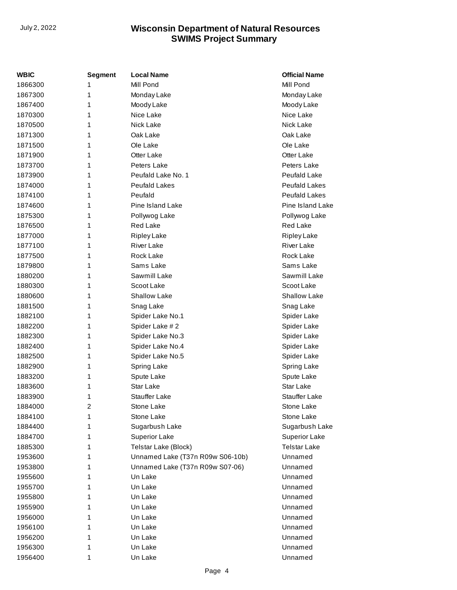| WBIC    | <b>Segment</b> | <b>Local Name</b>                | <b>Official Name</b> |
|---------|----------------|----------------------------------|----------------------|
| 1866300 | 1              | Mill Pond                        | Mill Pond            |
| 1867300 | 1              | Monday Lake                      | Monday Lake          |
| 1867400 | 1              | Moody Lake                       | Moody Lake           |
| 1870300 | 1              | Nice Lake                        | Nice Lake            |
| 1870500 | 1              | Nick Lake                        | Nick Lake            |
| 1871300 | 1              | Oak Lake                         | Oak Lake             |
| 1871500 | 1              | Ole Lake                         | Ole Lake             |
| 1871900 | 1              | Otter Lake                       | Otter Lake           |
| 1873700 | 1              | Peters Lake                      | Peters Lake          |
| 1873900 | 1              | Peufald Lake No. 1               | <b>Peufald Lake</b>  |
| 1874000 | 1              | <b>Peufald Lakes</b>             | <b>Peufald Lakes</b> |
| 1874100 | 1              | Peufald                          | <b>Peufald Lakes</b> |
| 1874600 | 1              | Pine Island Lake                 | Pine Island Lake     |
| 1875300 | 1              | Pollywog Lake                    | Pollywog Lake        |
| 1876500 | 1              | Red Lake                         | <b>Red Lake</b>      |
| 1877000 | 1              | Ripley Lake                      | Ripley Lake          |
| 1877100 | 1              | <b>River Lake</b>                | River Lake           |
| 1877500 | 1              | Rock Lake                        | Rock Lake            |
| 1879800 | 1              | Sams Lake                        | Sams Lake            |
| 1880200 | 1              | Sawmill Lake                     | Sawmill Lake         |
| 1880300 | 1              | Scoot Lake                       | Scoot Lake           |
| 1880600 | 1              | <b>Shallow Lake</b>              | Shallow Lake         |
| 1881500 | 1              | Snag Lake                        | Snag Lake            |
| 1882100 | 1              | Spider Lake No.1                 | Spider Lake          |
| 1882200 | 1              | Spider Lake #2                   | Spider Lake          |
| 1882300 | 1              | Spider Lake No.3                 | Spider Lake          |
| 1882400 | 1              | Spider Lake No.4                 | Spider Lake          |
| 1882500 | 1              | Spider Lake No.5                 | Spider Lake          |
| 1882900 | 1              | Spring Lake                      | Spring Lake          |
| 1883200 | 1              | Spute Lake                       | Spute Lake           |
| 1883600 | 1              | Star Lake                        | Star Lake            |
| 1883900 | 1              | <b>Stauffer Lake</b>             | <b>Stauffer Lake</b> |
| 1884000 | 2              | Stone Lake                       | Stone Lake           |
| 1884100 | 1              | Stone Lake                       | Stone Lake           |
| 1884400 | 1              | Sugarbush Lake                   | Sugarbush Lake       |
| 1884700 | 1              | <b>Superior Lake</b>             | <b>Superior Lake</b> |
| 1885300 | 1              | Telstar Lake (Block)             | <b>Telstar Lake</b>  |
| 1953600 | 1              | Unnamed Lake (T37n R09w S06-10b) | Unnamed              |
| 1953800 | 1              | Unnamed Lake (T37n R09w S07-06)  | Unnamed              |
| 1955600 | 1              | Un Lake                          | Unnamed              |
| 1955700 | 1              | Un Lake                          | Unnamed              |
| 1955800 | 1              | Un Lake                          | Unnamed              |
| 1955900 | 1              | Un Lake                          | Unnamed              |
| 1956000 | 1              | Un Lake                          | Unnamed              |
| 1956100 | 1              | Un Lake                          | Unnamed              |
| 1956200 | 1              | Un Lake                          | Unnamed              |
| 1956300 | 1              | Un Lake                          | Unnamed              |
| 1956400 | 1              | Un Lake                          | Unnamed              |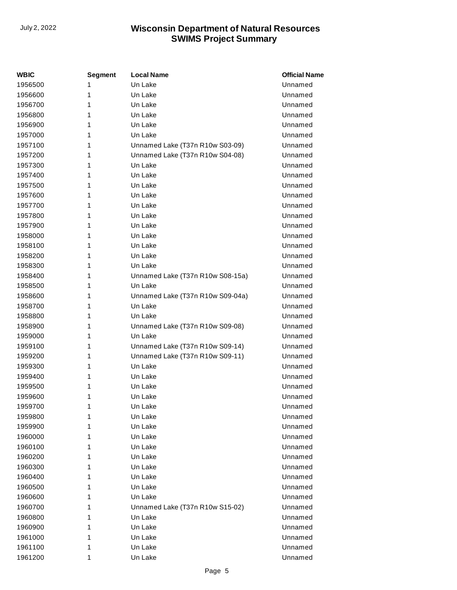| WBIC    | <b>Segment</b> | Local Name                       | <b>Official Name</b> |
|---------|----------------|----------------------------------|----------------------|
| 1956500 | 1              | Un Lake                          | Unnamed              |
| 1956600 | 1              | Un Lake                          | Unnamed              |
| 1956700 | 1              | Un Lake                          | Unnamed              |
| 1956800 | 1              | Un Lake                          | Unnamed              |
| 1956900 | 1              | Un Lake                          | Unnamed              |
| 1957000 | 1              | Un Lake                          | Unnamed              |
| 1957100 | 1              | Unnamed Lake (T37n R10w S03-09)  | Unnamed              |
| 1957200 | 1              | Unnamed Lake (T37n R10w S04-08)  | Unnamed              |
| 1957300 | 1              | Un Lake                          | Unnamed              |
| 1957400 | 1              | Un Lake                          | Unnamed              |
| 1957500 | 1              | Un Lake                          | Unnamed              |
| 1957600 | 1              | Un Lake                          | Unnamed              |
| 1957700 | 1              | Un Lake                          | Unnamed              |
| 1957800 | 1              | Un Lake                          | Unnamed              |
| 1957900 | 1              | Un Lake                          | Unnamed              |
| 1958000 | 1              | Un Lake                          | Unnamed              |
| 1958100 | 1              | Un Lake                          | Unnamed              |
| 1958200 | 1              | Un Lake                          | Unnamed              |
| 1958300 | 1              | Un Lake                          | Unnamed              |
| 1958400 | 1              | Unnamed Lake (T37n R10w S08-15a) | Unnamed              |
| 1958500 | 1              | Un Lake                          | Unnamed              |
| 1958600 | 1              | Unnamed Lake (T37n R10w S09-04a) | Unnamed              |
| 1958700 | 1              | Un Lake                          | Unnamed              |
| 1958800 | 1              | Un Lake                          | Unnamed              |
| 1958900 | 1              | Unnamed Lake (T37n R10w S09-08)  | Unnamed              |
| 1959000 | 1              | Un Lake                          | Unnamed              |
| 1959100 | 1              | Unnamed Lake (T37n R10w S09-14)  | Unnamed              |
| 1959200 | 1              | Unnamed Lake (T37n R10w S09-11)  | Unnamed              |
| 1959300 | 1              | Un Lake                          | Unnamed              |
| 1959400 | 1              | Un Lake                          | Unnamed              |
| 1959500 | 1              | Un Lake                          | Unnamed              |
| 1959600 | 1              | Un Lake                          | Unnamed              |
| 1959700 | 1              | Un Lake                          | Unnamed              |
| 1959800 | 1              | Un Lake                          | Unnamed              |
| 1959900 | 1              | Un Lake                          | Unnamed              |
| 1960000 | 1              | Un Lake                          | Unnamed              |
| 1960100 | 1              | Un Lake                          | Unnamed              |
| 1960200 | 1              | Un Lake                          | Unnamed              |
| 1960300 | 1              | Un Lake                          | Unnamed              |
| 1960400 | 1              | Un Lake                          | Unnamed              |
| 1960500 | 1              | Un Lake                          | Unnamed              |
| 1960600 | 1              | Un Lake                          | Unnamed              |
| 1960700 | 1              | Unnamed Lake (T37n R10w S15-02)  | Unnamed              |
| 1960800 | 1              | Un Lake                          | Unnamed              |
| 1960900 | 1              | Un Lake                          | Unnamed              |
| 1961000 | 1              | Un Lake                          | Unnamed              |
| 1961100 | 1              | Un Lake                          | Unnamed              |
| 1961200 | 1              | Un Lake                          | Unnamed              |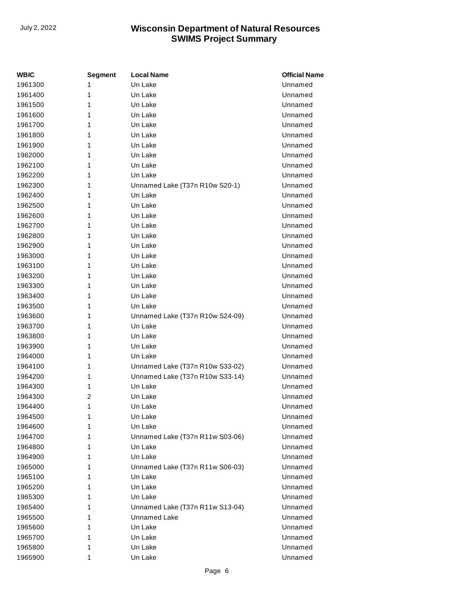| <b>WBIC</b> | <b>Segment</b> | <b>Local Name</b>               | <b>Official Name</b> |
|-------------|----------------|---------------------------------|----------------------|
| 1961300     | 1              | Un Lake                         | Unnamed              |
| 1961400     | 1              | Un Lake                         | Unnamed              |
| 1961500     | 1              | Un Lake                         | Unnamed              |
| 1961600     | 1              | Un Lake                         | Unnamed              |
| 1961700     | 1              | Un Lake                         | Unnamed              |
| 1961800     | 1              | Un Lake                         | Unnamed              |
| 1961900     | 1              | Un Lake                         | Unnamed              |
| 1962000     | 1              | Un Lake                         | Unnamed              |
| 1962100     | 1              | Un Lake                         | Unnamed              |
| 1962200     | 1              | Un Lake                         | Unnamed              |
| 1962300     | 1              | Unnamed Lake (T37n R10w S20-1)  | Unnamed              |
| 1962400     | 1              | Un Lake                         | Unnamed              |
| 1962500     | 1              | Un Lake                         | Unnamed              |
| 1962600     | 1              | Un Lake                         | Unnamed              |
| 1962700     | 1              | Un Lake                         | Unnamed              |
| 1962800     | 1              | Un Lake                         | Unnamed              |
| 1962900     | 1              | Un Lake                         | Unnamed              |
| 1963000     | 1              | Un Lake                         | Unnamed              |
| 1963100     | 1              | Un Lake                         | Unnamed              |
| 1963200     | 1              | Un Lake                         | Unnamed              |
| 1963300     | 1              | Un Lake                         | Unnamed              |
| 1963400     | 1              | Un Lake                         | Unnamed              |
| 1963500     | 1              | Un Lake                         | Unnamed              |
| 1963600     | 1              | Unnamed Lake (T37n R10w S24-09) | Unnamed              |
| 1963700     | 1              | Un Lake                         | Unnamed              |
| 1963800     | 1              | Un Lake                         | Unnamed              |
| 1963900     | 1              | Un Lake                         | Unnamed              |
| 1964000     | 1              | Un Lake                         | Unnamed              |
| 1964100     | 1              | Unnamed Lake (T37n R10w S33-02) | Unnamed              |
| 1964200     | 1              | Unnamed Lake (T37n R10w S33-14) | Unnamed              |
| 1964300     | 1              | Un Lake                         | Unnamed              |
| 1964300     | $\overline{c}$ | Un Lake                         | Unnamed              |
| 1964400     | 1              | Un Lake                         | Unnamed              |
| 1964500     | 1              | Un Lake                         | Unnamed              |
| 1964600     | 1              | Un Lake                         | Unnamed              |
| 1964700     | 1              | Unnamed Lake (T37n R11w S03-06) | Unnamed              |
| 1964800     | 1              | Un Lake                         | Unnamed              |
| 1964900     | 1              | Un Lake                         | Unnamed              |
| 1965000     | 1              | Unnamed Lake (T37n R11w S06-03) | Unnamed              |
| 1965100     | 1              | Un Lake                         | Unnamed              |
| 1965200     | 1              | Un Lake                         | Unnamed              |
| 1965300     | 1              | Un Lake                         | Unnamed              |
| 1965400     | 1              | Unnamed Lake (T37n R11w S13-04) | Unnamed              |
| 1965500     | 1              | Unnamed Lake                    | Unnamed              |
| 1965600     | 1              | Un Lake                         | Unnamed              |
| 1965700     | 1              | Un Lake                         | Unnamed              |
| 1965800     | 1              | Un Lake                         | Unnamed              |
| 1965900     | 1              | Un Lake                         | Unnamed              |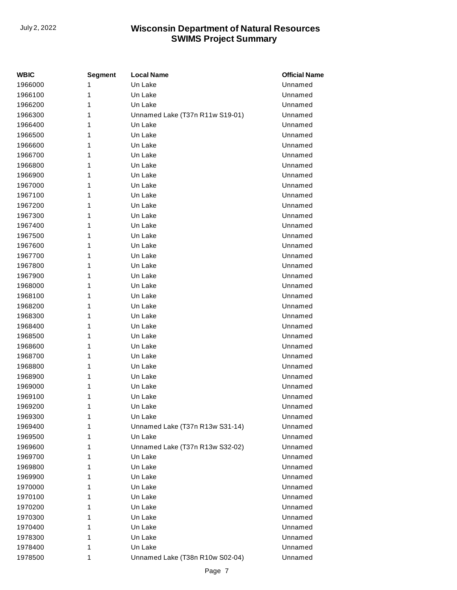| <b>WBIC</b> | <b>Segment</b> | <b>Local Name</b>               | <b>Official Name</b> |
|-------------|----------------|---------------------------------|----------------------|
| 1966000     | 1              | Un Lake                         | Unnamed              |
| 1966100     | 1              | Un Lake                         | Unnamed              |
| 1966200     | 1              | Un Lake                         | Unnamed              |
| 1966300     | 1              | Unnamed Lake (T37n R11w S19-01) | Unnamed              |
| 1966400     | 1              | Un Lake                         | Unnamed              |
| 1966500     | 1              | Un Lake                         | Unnamed              |
| 1966600     | 1              | Un Lake                         | Unnamed              |
| 1966700     | 1              | Un Lake                         | Unnamed              |
| 1966800     | 1              | Un Lake                         | Unnamed              |
| 1966900     | 1              | Un Lake                         | Unnamed              |
| 1967000     | 1              | Un Lake                         | Unnamed              |
| 1967100     | 1              | Un Lake                         | Unnamed              |
| 1967200     | 1              | Un Lake                         | Unnamed              |
| 1967300     | 1              | Un Lake                         | Unnamed              |
| 1967400     | 1              | Un Lake                         | Unnamed              |
| 1967500     | 1              | Un Lake                         | Unnamed              |
| 1967600     | 1              | Un Lake                         | Unnamed              |
| 1967700     | 1              | Un Lake                         | Unnamed              |
| 1967800     | 1              | Un Lake                         | Unnamed              |
| 1967900     | 1              | Un Lake                         | Unnamed              |
| 1968000     | 1              | Un Lake                         | Unnamed              |
| 1968100     | 1              | Un Lake                         | Unnamed              |
| 1968200     | 1              | Un Lake                         | Unnamed              |
| 1968300     | 1              | Un Lake                         | Unnamed              |
| 1968400     | 1              | Un Lake                         | Unnamed              |
| 1968500     | 1              | Un Lake                         | Unnamed              |
| 1968600     | 1              | Un Lake                         | Unnamed              |
| 1968700     | 1              | Un Lake                         | Unnamed              |
| 1968800     | 1              | Un Lake                         | Unnamed              |
| 1968900     | 1              | Un Lake                         | Unnamed              |
| 1969000     | 1              | Un Lake                         | Unnamed              |
| 1969100     | 1              | Un Lake                         | Unnamed              |
| 1969200     | 1              | Un Lake                         | Unnamed              |
| 1969300     | 1              | Un Lake                         | Unnamed              |
| 1969400     | 1              | Unnamed Lake (T37n R13w S31-14) | Unnamed              |
| 1969500     | 1              | Un Lake                         | Unnamed              |
| 1969600     | 1              | Unnamed Lake (T37n R13w S32-02) | Unnamed              |
| 1969700     | 1              | Un Lake                         | Unnamed              |
| 1969800     | 1              | Un Lake                         | Unnamed              |
| 1969900     | 1              | Un Lake                         | Unnamed              |
| 1970000     | 1              | Un Lake                         | Unnamed              |
| 1970100     | 1              | Un Lake                         | Unnamed              |
| 1970200     | 1              | Un Lake                         | Unnamed              |
| 1970300     | 1              | Un Lake                         | Unnamed              |
| 1970400     | 1              | Un Lake                         | Unnamed              |
| 1978300     | 1              | Un Lake                         | Unnamed              |
| 1978400     | 1              | Un Lake                         | Unnamed              |
| 1978500     | 1              | Unnamed Lake (T38n R10w S02-04) | Unnamed              |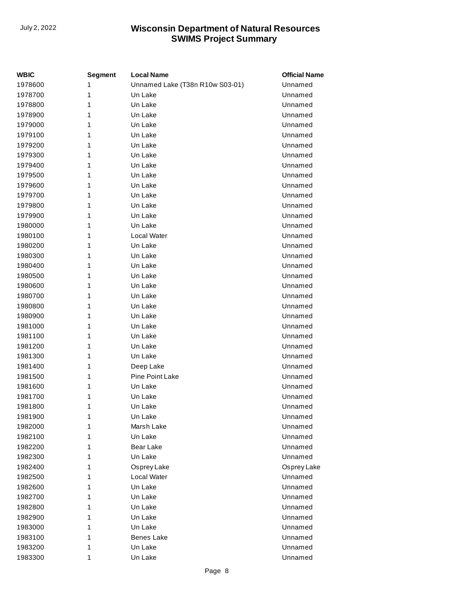| WBIC    | Segment | <b>Local Name</b>               | <b>Official Name</b> |
|---------|---------|---------------------------------|----------------------|
| 1978600 | 1       | Unnamed Lake (T38n R10w S03-01) | Unnamed              |
| 1978700 | 1       | Un Lake                         | Unnamed              |
| 1978800 | 1       | Un Lake                         | Unnamed              |
| 1978900 | 1       | Un Lake                         | Unnamed              |
| 1979000 | 1       | Un Lake                         | Unnamed              |
| 1979100 | 1       | Un Lake                         | Unnamed              |
| 1979200 | 1       | Un Lake                         | Unnamed              |
| 1979300 | 1       | Un Lake                         | Unnamed              |
| 1979400 | 1       | Un Lake                         | Unnamed              |
| 1979500 | 1       | Un Lake                         | Unnamed              |
| 1979600 | 1       | Un Lake                         | Unnamed              |
| 1979700 | 1       | Un Lake                         | Unnamed              |
| 1979800 | 1       | Un Lake                         | Unnamed              |
| 1979900 | 1       | Un Lake                         | Unnamed              |
| 1980000 | 1       | Un Lake                         | Unnamed              |
| 1980100 | 1       | Local Water                     | Unnamed              |
| 1980200 | 1       | Un Lake                         | Unnamed              |
| 1980300 | 1       | Un Lake                         | Unnamed              |
| 1980400 | 1       | Un Lake                         | Unnamed              |
| 1980500 | 1       | Un Lake                         | Unnamed              |
| 1980600 | 1       | Un Lake                         | Unnamed              |
| 1980700 | 1       | Un Lake                         | Unnamed              |
| 1980800 | 1       | Un Lake                         | Unnamed              |
| 1980900 | 1       | Un Lake                         | Unnamed              |
| 1981000 | 1       | Un Lake                         | Unnamed              |
| 1981100 | 1       | Un Lake                         | Unnamed              |
| 1981200 | 1       | Un Lake                         | Unnamed              |
| 1981300 | 1       | Un Lake                         | Unnamed              |
| 1981400 | 1       | Deep Lake                       | Unnamed              |
| 1981500 | 1       | <b>Pine Point Lake</b>          | Unnamed              |
| 1981600 | 1       | Un Lake                         | Unnamed              |
| 1981700 | 1       | Un Lake                         | Unnamed              |
| 1981800 | 1       | Un Lake                         | Unnamed              |
| 1981900 | 1       | Un Lake                         | Unnamed              |
| 1982000 | 1       | Marsh Lake                      | Unnamed              |
| 1982100 | 1       | Un Lake                         | Unnamed              |
| 1982200 | 1       | Bear Lake                       | Unnamed              |
| 1982300 | 1       | Un Lake                         | Unnamed              |
| 1982400 | 1       | Osprey Lake                     | Osprey Lake          |
| 1982500 | 1       | Local Water                     | Unnamed              |
| 1982600 | 1       | Un Lake                         | Unnamed              |
| 1982700 | 1       | Un Lake                         | Unnamed              |
| 1982800 | 1       | Un Lake                         | Unnamed              |
| 1982900 | 1       | Un Lake                         | Unnamed              |
| 1983000 | 1       | Un Lake                         | Unnamed              |
| 1983100 | 1       | <b>Benes Lake</b>               | Unnamed              |
| 1983200 | 1       | Un Lake                         | Unnamed              |
| 1983300 | 1       | Un Lake                         | Unnamed              |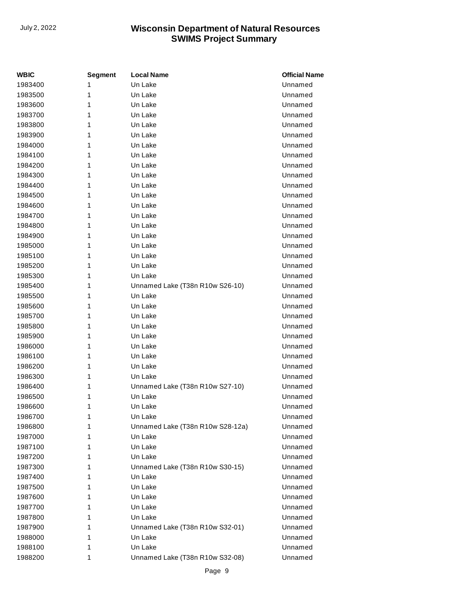| <b>WBIC</b> | <b>Segment</b> | <b>Local Name</b>                | <b>Official Name</b> |
|-------------|----------------|----------------------------------|----------------------|
| 1983400     | 1              | Un Lake                          | Unnamed              |
| 1983500     | 1              | Un Lake                          | Unnamed              |
| 1983600     | 1              | Un Lake                          | Unnamed              |
| 1983700     | 1              | Un Lake                          | Unnamed              |
| 1983800     | 1              | Un Lake                          | Unnamed              |
| 1983900     | 1              | Un Lake                          | Unnamed              |
| 1984000     | 1              | Un Lake                          | Unnamed              |
| 1984100     | 1              | Un Lake                          | Unnamed              |
| 1984200     | 1              | Un Lake                          | Unnamed              |
| 1984300     | 1              | Un Lake                          | Unnamed              |
| 1984400     | 1              | Un Lake                          | Unnamed              |
| 1984500     | 1              | Un Lake                          | Unnamed              |
| 1984600     | 1              | Un Lake                          | Unnamed              |
| 1984700     | 1              | Un Lake                          | Unnamed              |
| 1984800     | 1              | Un Lake                          | Unnamed              |
| 1984900     | 1              | Un Lake                          | Unnamed              |
| 1985000     | 1              | Un Lake                          | Unnamed              |
| 1985100     | 1              | Un Lake                          | Unnamed              |
| 1985200     | 1              | Un Lake                          | Unnamed              |
| 1985300     | 1              | Un Lake                          | Unnamed              |
| 1985400     | 1              | Unnamed Lake (T38n R10w S26-10)  | Unnamed              |
| 1985500     | 1              | Un Lake                          | Unnamed              |
| 1985600     | 1              | Un Lake                          | Unnamed              |
| 1985700     | 1              | Un Lake                          | Unnamed              |
| 1985800     | 1              | Un Lake                          | Unnamed              |
| 1985900     | 1              | Un Lake                          | Unnamed              |
| 1986000     | 1              | Un Lake                          | Unnamed              |
| 1986100     | 1              | Un Lake                          | Unnamed              |
| 1986200     | 1              | Un Lake                          | Unnamed              |
| 1986300     | 1              | Un Lake                          | Unnamed              |
| 1986400     | 1              | Unnamed Lake (T38n R10w S27-10)  | Unnamed              |
| 1986500     | 1              | Un Lake                          | Unnamed              |
| 1986600     | 1              | Un Lake                          | Unnamed              |
| 1986700     | 1              | Un Lake                          | Unnamed              |
| 1986800     | 1              | Unnamed Lake (T38n R10w S28-12a) | Unnamed              |
| 1987000     | 1              | Un Lake                          | Unnamed              |
| 1987100     | 1              | Un Lake                          | Unnamed              |
| 1987200     | 1              | Un Lake                          | Unnamed              |
| 1987300     | 1              | Unnamed Lake (T38n R10w S30-15)  | Unnamed              |
| 1987400     | 1              | Un Lake                          | Unnamed              |
| 1987500     | 1              | Un Lake                          | Unnamed              |
| 1987600     | 1              | Un Lake                          | Unnamed              |
| 1987700     | 1              | Un Lake                          | Unnamed              |
| 1987800     | 1              | Un Lake                          | Unnamed              |
| 1987900     | 1              | Unnamed Lake (T38n R10w S32-01)  | Unnamed              |
| 1988000     | 1              | Un Lake                          | Unnamed              |
| 1988100     | 1              | Un Lake                          | Unnamed              |
| 1988200     | 1              | Unnamed Lake (T38n R10w S32-08)  | Unnamed              |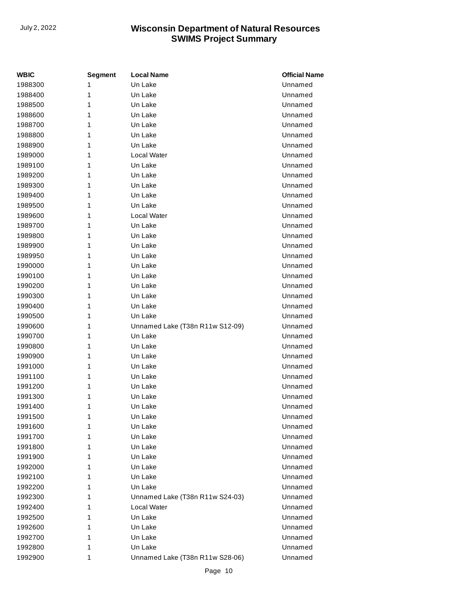| <b>WBIC</b> | <b>Segment</b> | <b>Local Name</b>               | <b>Official Name</b> |
|-------------|----------------|---------------------------------|----------------------|
| 1988300     | 1              | Un Lake                         | Unnamed              |
| 1988400     | 1              | Un Lake                         | Unnamed              |
| 1988500     | 1              | Un Lake                         | Unnamed              |
| 1988600     | 1              | Un Lake                         | Unnamed              |
| 1988700     | 1              | Un Lake                         | Unnamed              |
| 1988800     | 1              | Un Lake                         | Unnamed              |
| 1988900     | 1              | Un Lake                         | Unnamed              |
| 1989000     | 1              | Local Water                     | Unnamed              |
| 1989100     | 1              | Un Lake                         | Unnamed              |
| 1989200     | 1              | Un Lake                         | Unnamed              |
| 1989300     | 1              | Un Lake                         | Unnamed              |
| 1989400     | 1              | Un Lake                         | Unnamed              |
| 1989500     | 1              | Un Lake                         | Unnamed              |
| 1989600     | 1              | Local Water                     | Unnamed              |
| 1989700     | 1              | Un Lake                         | Unnamed              |
| 1989800     | 1              | Un Lake                         | Unnamed              |
| 1989900     | 1              | Un Lake                         | Unnamed              |
| 1989950     | 1              | Un Lake                         | Unnamed              |
| 1990000     | 1              | Un Lake                         | Unnamed              |
| 1990100     | 1              | Un Lake                         | Unnamed              |
| 1990200     | 1              | Un Lake                         | Unnamed              |
| 1990300     | 1              | Un Lake                         | Unnamed              |
| 1990400     | 1              | Un Lake                         | Unnamed              |
| 1990500     | 1              | Un Lake                         | Unnamed              |
| 1990600     | 1              | Unnamed Lake (T38n R11w S12-09) | Unnamed              |
| 1990700     | 1              | Un Lake                         | Unnamed              |
| 1990800     | 1              | Un Lake                         | Unnamed              |
| 1990900     | 1              | Un Lake                         | Unnamed              |
| 1991000     | 1              | Un Lake                         | Unnamed              |
| 1991100     | 1              | Un Lake                         | Unnamed              |
| 1991200     | 1              | Un Lake                         | Unnamed              |
| 1991300     | 1              | Un Lake                         | Unnamed              |
| 1991400     | 1              | Un Lake                         | Unnamed              |
| 1991500     | 1              | Un Lake                         | Unnamed              |
| 1991600     | 1              | Un Lake                         | Unnamed              |
| 1991700     | 1              | Un Lake                         | Unnamed              |
| 1991800     | 1              | Un Lake                         | Unnamed              |
| 1991900     | 1              | Un Lake                         | Unnamed              |
| 1992000     | 1              | Un Lake                         | Unnamed              |
| 1992100     | 1              | Un Lake                         | Unnamed              |
| 1992200     | 1              | Un Lake                         | Unnamed              |
| 1992300     | 1              | Unnamed Lake (T38n R11w S24-03) | Unnamed              |
| 1992400     | 1              | Local Water                     | Unnamed              |
| 1992500     | 1              | Un Lake                         | Unnamed              |
| 1992600     | 1              | Un Lake                         | Unnamed              |
| 1992700     | 1              | Un Lake                         | Unnamed              |
| 1992800     | 1              | Un Lake                         | Unnamed              |
| 1992900     | 1              | Unnamed Lake (T38n R11w S28-06) | Unnamed              |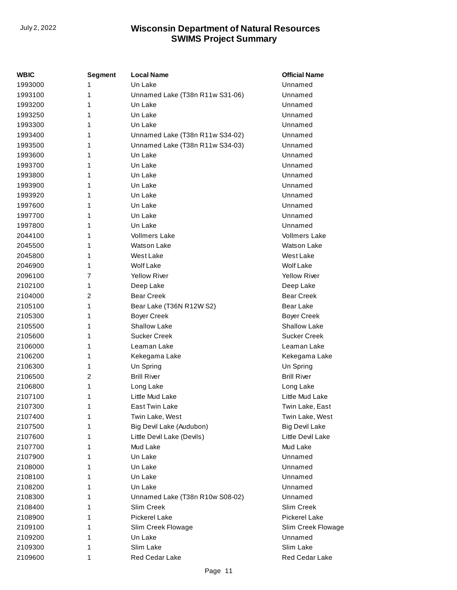| WBIC    | Segment        | <b>Local Name</b>               | <b>Official Name</b>  |
|---------|----------------|---------------------------------|-----------------------|
| 1993000 | 1              | Un Lake                         | Unnamed               |
| 1993100 | 1              | Unnamed Lake (T38n R11w S31-06) | Unnamed               |
| 1993200 | 1              | Un Lake                         | Unnamed               |
| 1993250 | 1              | Un Lake                         | Unnamed               |
| 1993300 | 1              | Un Lake                         | Unnamed               |
| 1993400 | 1              | Unnamed Lake (T38n R11w S34-02) | Unnamed               |
| 1993500 | 1              | Unnamed Lake (T38n R11w S34-03) | Unnamed               |
| 1993600 | 1              | Un Lake                         | Unnamed               |
| 1993700 | 1              | Un Lake                         | Unnamed               |
| 1993800 | 1              | Un Lake                         | Unnamed               |
| 1993900 | 1              | Un Lake                         | Unnamed               |
| 1993920 | 1              | Un Lake                         | Unnamed               |
| 1997600 | 1              | Un Lake                         | Unnamed               |
| 1997700 | 1              | Un Lake                         | Unnamed               |
| 1997800 | 1              | Un Lake                         | Unnamed               |
| 2044100 | 1              | <b>Vollmers Lake</b>            | <b>Vollmers Lake</b>  |
| 2045500 | 1              | <b>Watson Lake</b>              | <b>Watson Lake</b>    |
| 2045800 | 1              | West Lake                       | West Lake             |
| 2046900 | 1              | Wolf Lake                       | <b>Wolf Lake</b>      |
| 2096100 | $\overline{7}$ | <b>Yellow River</b>             | <b>Yellow River</b>   |
| 2102100 | 1              | Deep Lake                       | Deep Lake             |
| 2104000 | $\overline{c}$ | <b>Bear Creek</b>               | <b>Bear Creek</b>     |
| 2105100 | 1              | Bear Lake (T36N R12W S2)        | Bear Lake             |
| 2105300 | 1              | <b>Boyer Creek</b>              | <b>Boyer Creek</b>    |
| 2105500 | 1              | <b>Shallow Lake</b>             | <b>Shallow Lake</b>   |
| 2105600 | 1              | <b>Sucker Creek</b>             | <b>Sucker Creek</b>   |
| 2106000 | 1              | Leaman Lake                     | Leaman Lake           |
| 2106200 | 1              | Kekegama Lake                   | Kekegama Lake         |
| 2106300 | 1              | Un Spring                       | Un Spring             |
| 2106500 | $\overline{c}$ | <b>Brill River</b>              | <b>Brill River</b>    |
| 2106800 | 1              | Long Lake                       | Long Lake             |
| 2107100 | 1              | Little Mud Lake                 | Little Mud Lake       |
| 2107300 | 1              | East Twin Lake                  | Twin Lake, East       |
| 2107400 | 1              | Twin Lake, West                 | Twin Lake, West       |
| 2107500 | 1              | Big Devil Lake (Audubon)        | <b>Big Devil Lake</b> |
| 2107600 | 1              | Little Devil Lake (Devils)      | Little Devil Lake     |
| 2107700 | 1              | Mud Lake                        | Mud Lake              |
| 2107900 | 1              | Un Lake                         | Unnamed               |
| 2108000 | 1              | Un Lake                         | Unnamed               |
| 2108100 | 1              | Un Lake                         | Unnamed               |
| 2108200 | 1              | Un Lake                         | Unnamed               |
| 2108300 | 1              | Unnamed Lake (T38n R10w S08-02) | Unnamed               |
| 2108400 | 1              | Slim Creek                      | Slim Creek            |
| 2108900 | 1              | Pickerel Lake                   | <b>Pickerel Lake</b>  |
| 2109100 | 1              | Slim Creek Flowage              | Slim Creek Flowage    |
| 2109200 | 1              | Un Lake                         | Unnamed               |
| 2109300 | 1              | Slim Lake                       | Slim Lake             |
| 2109600 | 1              | Red Cedar Lake                  | Red Cedar Lake        |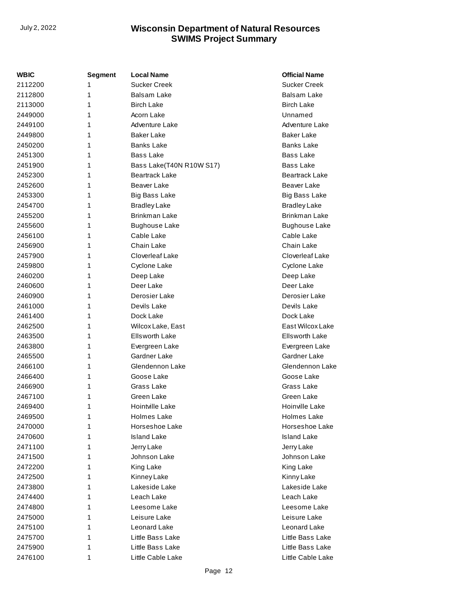| WBIC    | <b>Segment</b> | <b>Local Name</b>        | <b>Official Name</b>  |
|---------|----------------|--------------------------|-----------------------|
| 2112200 | 1              | <b>Sucker Creek</b>      | <b>Sucker Creek</b>   |
| 2112800 | 1              | <b>Balsam Lake</b>       | <b>Balsam Lake</b>    |
| 2113000 | 1              | <b>Birch Lake</b>        | <b>Birch Lake</b>     |
| 2449000 | 1              | Acorn Lake               | Unnamed               |
| 2449100 | 1              | Adventure Lake           | Adventure Lake        |
| 2449800 | 1              | <b>Baker Lake</b>        | <b>Baker Lake</b>     |
| 2450200 | 1              | <b>Banks Lake</b>        | <b>Banks Lake</b>     |
| 2451300 | 1              | <b>Bass Lake</b>         | <b>Bass Lake</b>      |
| 2451900 | 1              | Bass Lake(T40N R10W S17) | <b>Bass Lake</b>      |
| 2452300 | 1              | <b>Beartrack Lake</b>    | <b>Beartrack Lake</b> |
| 2452600 | 1              | <b>Beaver Lake</b>       | <b>Beaver Lake</b>    |
| 2453300 | 1              | <b>Big Bass Lake</b>     | <b>Big Bass Lake</b>  |
| 2454700 | 1              | <b>Bradley Lake</b>      | <b>Bradley Lake</b>   |
| 2455200 | 1              | <b>Brinkman Lake</b>     | Brinkman Lake         |
| 2455600 | 1              | <b>Bughouse Lake</b>     | <b>Bughouse Lake</b>  |
| 2456100 | 1              | Cable Lake               | Cable Lake            |
| 2456900 | 1              | Chain Lake               | Chain Lake            |
| 2457900 | 1              | Cloverleaf Lake          | Cloverleaf Lake       |
| 2459800 | 1              | Cyclone Lake             | Cyclone Lake          |
| 2460200 | 1              | Deep Lake                | Deep Lake             |
| 2460600 | 1              | Deer Lake                | Deer Lake             |
| 2460900 | 1              | Derosier Lake            | Derosier Lake         |
| 2461000 | 1              | Devils Lake              | Devils Lake           |
| 2461400 | 1              | Dock Lake                | Dock Lake             |
| 2462500 | 1              | Wilcox Lake, East        | East Wilcox Lake      |
| 2463500 | 1              | <b>Ellsworth Lake</b>    | <b>Ellsworth Lake</b> |
| 2463800 | 1              | Evergreen Lake           | Evergreen Lake        |
| 2465500 | 1              | Gardner Lake             | Gardner Lake          |
| 2466100 | 1              | Glendennon Lake          | Glendennon Lake       |
| 2466400 | 1              | Goose Lake               | Goose Lake            |
| 2466900 | 1              | Grass Lake               | Grass Lake            |
| 2467100 | 1              | Green Lake               | Green Lake            |
| 2469400 | 1              | Hointville Lake          | Hoinville Lake        |
| 2469500 | 1              | <b>Holmes Lake</b>       | Holmes Lake           |
| 2470000 | 1              | Horseshoe Lake           | Horseshoe Lake        |
| 2470600 | 1              | <b>Island Lake</b>       | <b>Island Lake</b>    |
| 2471100 | 1              | Jerry Lake               | Jerry Lake            |
| 2471500 | 1              | Johnson Lake             | Johnson Lake          |
| 2472200 | 1              | King Lake                | King Lake             |
| 2472500 | 1              | Kinney Lake              | Kinny Lake            |
| 2473800 | 1              | Lakeside Lake            | Lakeside Lake         |
| 2474400 | 1              | Leach Lake               | Leach Lake            |
| 2474800 | 1              | Leesome Lake             | Leesome Lake          |
| 2475000 | 1              | Leisure Lake             | Leisure Lake          |
| 2475100 | 1              | Leonard Lake             | Leonard Lake          |
| 2475700 | 1              | Little Bass Lake         | Little Bass Lake      |
| 2475900 | 1              | Little Bass Lake         | Little Bass Lake      |
| 2476100 | 1              | Little Cable Lake        | Little Cable Lake     |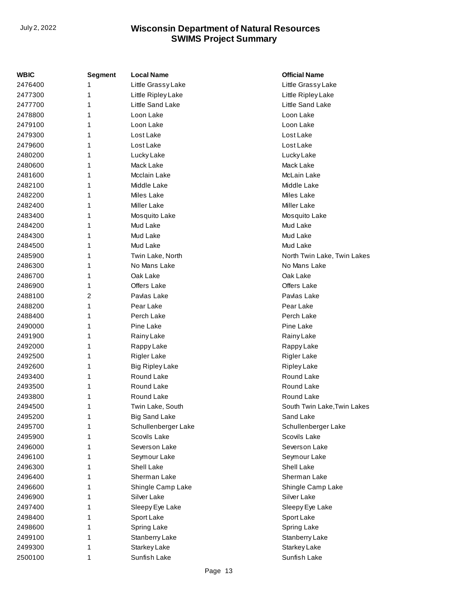| WBIC    | <b>Segment</b> | <b>Local Name</b>      | <b>Official Name</b>        |
|---------|----------------|------------------------|-----------------------------|
| 2476400 | 1              | Little Grassy Lake     | Little Grassy Lake          |
| 2477300 | 1              | Little Ripley Lake     | Little Ripley Lake          |
| 2477700 | 1              | Little Sand Lake       | Little Sand Lake            |
| 2478800 | 1              | Loon Lake              | Loon Lake                   |
| 2479100 | 1              | Loon Lake              | Loon Lake                   |
| 2479300 | 1              | Lost Lake              | Lost Lake                   |
| 2479600 | 1              | Lost Lake              | Lost Lake                   |
| 2480200 | 1              | Lucky Lake             | Lucky Lake                  |
| 2480600 | 1              | Mack Lake              | Mack Lake                   |
| 2481600 | 1              | Mcclain Lake           | McLain Lake                 |
| 2482100 | 1              | Middle Lake            | Middle Lake                 |
| 2482200 | 1              | Miles Lake             | Miles Lake                  |
| 2482400 | 1              | <b>Miller Lake</b>     | <b>Miller Lake</b>          |
| 2483400 | 1              | Mosquito Lake          | Mosquito Lake               |
| 2484200 | 1              | Mud Lake               | Mud Lake                    |
| 2484300 | 1              | Mud Lake               | Mud Lake                    |
| 2484500 | 1              | Mud Lake               | Mud Lake                    |
| 2485900 | 1              | Twin Lake, North       | North Twin Lake, Twin Lakes |
| 2486300 | 1              | No Mans Lake           | No Mans Lake                |
| 2486700 | 1              | Oak Lake               | Oak Lake                    |
| 2486900 | 1              | Offers Lake            | Offers Lake                 |
| 2488100 | 2              | Pavlas Lake            | Pavlas Lake                 |
| 2488200 | 1              | Pear Lake              | Pear Lake                   |
| 2488400 | 1              | Perch Lake             | Perch Lake                  |
| 2490000 | 1              | Pine Lake              | Pine Lake                   |
| 2491900 | 1              | Rainy Lake             | Rainy Lake                  |
| 2492000 | 1              | Rappy Lake             | Rappy Lake                  |
| 2492500 | 1              | <b>Rigler Lake</b>     | Rigler Lake                 |
| 2492600 | 1              | <b>Big Ripley Lake</b> | Ripley Lake                 |
| 2493400 | 1              | Round Lake             | Round Lake                  |
| 2493500 | 1              | Round Lake             | Round Lake                  |
| 2493800 | 1              | Round Lake             | Round Lake                  |
| 2494500 | 1              | Twin Lake, South       | South Twin Lake, Twin Lakes |
| 2495200 | 1              | <b>Big Sand Lake</b>   | Sand Lake                   |
| 2495700 | 1              | Schullenberger Lake    | Schullenberger Lake         |
| 2495900 | 1              | Scovils Lake           | Scovils Lake                |
| 2496000 | 1              | Severson Lake          | Severson Lake               |
| 2496100 | 1              | Seymour Lake           | Seymour Lake                |
| 2496300 | 1              | Shell Lake             | Shell Lake                  |
| 2496400 | 1              | Sherman Lake           | Sherman Lake                |
| 2496600 | 1              | Shingle Camp Lake      | Shingle Camp Lake           |
| 2496900 | 1              | Silver Lake            | Silver Lake                 |
| 2497400 | 1              | Sleepy Eye Lake        | Sleepy Eye Lake             |
| 2498400 | 1              | Sport Lake             | Sport Lake                  |
| 2498600 | 1              | Spring Lake            | Spring Lake                 |
| 2499100 | 1              | Stanberry Lake         | Stanberry Lake              |
| 2499300 | 1              | Starkey Lake           | Starkey Lake                |
| 2500100 | 1              | Sunfish Lake           | Sunfish Lake                |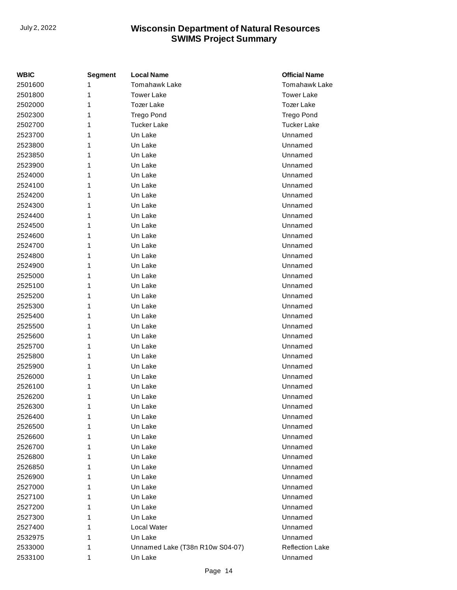| <b>WBIC</b> | <b>Segment</b> | <b>Local Name</b>               | <b>Official Name</b>   |
|-------------|----------------|---------------------------------|------------------------|
| 2501600     | 1              | <b>Tomahawk Lake</b>            | <b>Tomahawk Lake</b>   |
| 2501800     | 1              | <b>Tower Lake</b>               | <b>Tower Lake</b>      |
| 2502000     | 1              | <b>Tozer Lake</b>               | <b>Tozer Lake</b>      |
| 2502300     | 1              | <b>Trego Pond</b>               | <b>Trego Pond</b>      |
| 2502700     | 1              | <b>Tucker Lake</b>              | <b>Tucker Lake</b>     |
| 2523700     | 1              | Un Lake                         | Unnamed                |
| 2523800     | 1              | Un Lake                         | Unnamed                |
| 2523850     | 1              | Un Lake                         | Unnamed                |
| 2523900     | 1              | Un Lake                         | Unnamed                |
| 2524000     | 1              | Un Lake                         | Unnamed                |
| 2524100     | 1              | Un Lake                         | Unnamed                |
| 2524200     | 1              | Un Lake                         | Unnamed                |
| 2524300     | 1              | Un Lake                         | Unnamed                |
| 2524400     | 1              | Un Lake                         | Unnamed                |
| 2524500     | 1              | Un Lake                         | Unnamed                |
| 2524600     | 1              | Un Lake                         | Unnamed                |
| 2524700     | 1              | Un Lake                         | Unnamed                |
| 2524800     | 1              | Un Lake                         | Unnamed                |
| 2524900     | 1              | Un Lake                         | Unnamed                |
| 2525000     | 1              | Un Lake                         | Unnamed                |
| 2525100     | 1              | Un Lake                         | Unnamed                |
| 2525200     | 1              | Un Lake                         | Unnamed                |
| 2525300     | 1              | Un Lake                         | Unnamed                |
| 2525400     | 1              | Un Lake                         | Unnamed                |
| 2525500     | 1              | Un Lake                         | Unnamed                |
| 2525600     | 1              | Un Lake                         | Unnamed                |
| 2525700     | 1              | Un Lake                         | Unnamed                |
| 2525800     | 1              | Un Lake                         | Unnamed                |
| 2525900     | 1              | Un Lake                         | Unnamed                |
| 2526000     | 1              | Un Lake                         | Unnamed                |
| 2526100     | 1              | Un Lake                         | Unnamed                |
| 2526200     | 1              | Un Lake                         | Unnamed                |
| 2526300     | 1              | Un Lake                         | Unnamed                |
| 2526400     | 1              | Un Lake                         | Unnamed                |
| 2526500     | 1              | Un Lake                         | Unnamed                |
| 2526600     | 1              | Un Lake                         | Unnamed                |
| 2526700     | 1              | Un Lake                         | Unnamed                |
| 2526800     | 1              | Un Lake                         | Unnamed                |
| 2526850     | 1              | Un Lake                         | Unnamed                |
| 2526900     | 1              | Un Lake                         | Unnamed                |
| 2527000     | 1              | Un Lake                         | Unnamed                |
| 2527100     | 1              | Un Lake                         | Unnamed                |
| 2527200     | 1              | Un Lake                         | Unnamed                |
| 2527300     | 1              | Un Lake                         | Unnamed                |
| 2527400     | 1              | Local Water                     | Unnamed                |
| 2532975     | 1              | Un Lake                         | Unnamed                |
| 2533000     | 1              | Unnamed Lake (T38n R10w S04-07) | <b>Reflection Lake</b> |
| 2533100     | 1              | Un Lake                         | Unnamed                |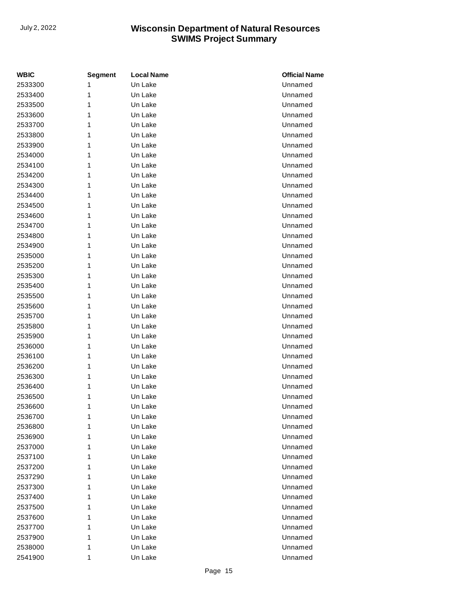| <b>WBIC</b> | <b>Segment</b> | <b>Local Name</b> | <b>Official Name</b> |
|-------------|----------------|-------------------|----------------------|
| 2533300     | 1              | Un Lake           | Unnamed              |
| 2533400     | 1              | Un Lake           | Unnamed              |
| 2533500     | 1              | Un Lake           | Unnamed              |
| 2533600     | 1              | Un Lake           | Unnamed              |
| 2533700     | 1              | Un Lake           | Unnamed              |
| 2533800     | 1              | Un Lake           | Unnamed              |
| 2533900     | 1              | Un Lake           | Unnamed              |
| 2534000     | 1              | Un Lake           | Unnamed              |
| 2534100     | 1              | Un Lake           | Unnamed              |
| 2534200     | 1              | Un Lake           | Unnamed              |
| 2534300     | 1              | Un Lake           | Unnamed              |
| 2534400     | 1              | Un Lake           | Unnamed              |
| 2534500     | 1              | Un Lake           | Unnamed              |
| 2534600     | 1              | Un Lake           | Unnamed              |
| 2534700     | 1              | Un Lake           | Unnamed              |
| 2534800     | 1              | Un Lake           | Unnamed              |
| 2534900     | 1              | Un Lake           | Unnamed              |
| 2535000     | 1              | Un Lake           | Unnamed              |
| 2535200     | 1              | Un Lake           | Unnamed              |
| 2535300     | 1              | Un Lake           | Unnamed              |
| 2535400     | 1              | Un Lake           | Unnamed              |
| 2535500     | 1              | Un Lake           | Unnamed              |
| 2535600     | 1              | Un Lake           | Unnamed              |
| 2535700     | 1              | Un Lake           | Unnamed              |
| 2535800     | 1              | Un Lake           | Unnamed              |
| 2535900     | 1              | Un Lake           | Unnamed              |
| 2536000     | 1              | Un Lake           | Unnamed              |
| 2536100     | 1              | Un Lake           | Unnamed              |
| 2536200     | 1              | Un Lake           | Unnamed              |
| 2536300     | 1              | Un Lake           | Unnamed              |
| 2536400     | 1              | Un Lake           | Unnamed              |
| 2536500     | 1              | Un Lake           | Unnamed              |
| 2536600     | 1              | Un Lake           | Unnamed              |
| 2536700     | 1              | Un Lake           | Unnamed              |
| 2536800     | 1              | Un Lake           | Unnamed              |
| 2536900     | 1              | Un Lake           | Unnamed              |
| 2537000     | 1              | Un Lake           | Unnamed              |
| 2537100     | 1              | Un Lake           | Unnamed              |
| 2537200     | 1              | Un Lake           | Unnamed              |
| 2537290     | 1              | Un Lake           | Unnamed              |
| 2537300     | 1              | Un Lake           | Unnamed              |
| 2537400     | 1              | Un Lake           | Unnamed              |
| 2537500     | 1              | Un Lake           | Unnamed              |
| 2537600     | 1              | Un Lake           | Unnamed              |
| 2537700     | 1              | Un Lake           | Unnamed              |
| 2537900     | 1              | Un Lake           | Unnamed              |
| 2538000     | 1              | Un Lake           | Unnamed              |
| 2541900     | 1              | Un Lake           | Unnamed              |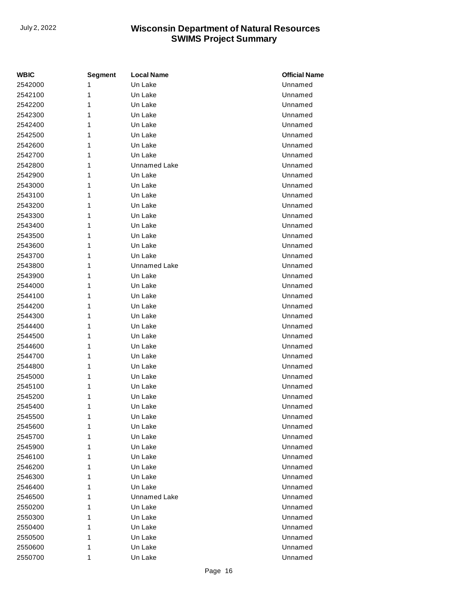| <b>WBIC</b> | <b>Segment</b> | <b>Local Name</b>   | <b>Official Name</b> |
|-------------|----------------|---------------------|----------------------|
| 2542000     | 1              | Un Lake             | Unnamed              |
| 2542100     | 1              | Un Lake             | Unnamed              |
| 2542200     | 1              | Un Lake             | Unnamed              |
| 2542300     | 1              | Un Lake             | Unnamed              |
| 2542400     | 1              | Un Lake             | Unnamed              |
| 2542500     | 1              | Un Lake             | Unnamed              |
| 2542600     | 1              | Un Lake             | Unnamed              |
| 2542700     | 1              | Un Lake             | Unnamed              |
| 2542800     | 1              | <b>Unnamed Lake</b> | Unnamed              |
| 2542900     | 1              | Un Lake             | Unnamed              |
| 2543000     | 1              | Un Lake             | Unnamed              |
| 2543100     | 1              | Un Lake             | Unnamed              |
| 2543200     | 1              | Un Lake             | Unnamed              |
| 2543300     | 1              | Un Lake             | Unnamed              |
| 2543400     | 1              | Un Lake             | Unnamed              |
| 2543500     | 1              | Un Lake             | Unnamed              |
| 2543600     | 1              | Un Lake             | Unnamed              |
| 2543700     | 1              | Un Lake             | Unnamed              |
| 2543800     | 1              | <b>Unnamed Lake</b> | Unnamed              |
| 2543900     | 1              | Un Lake             | Unnamed              |
| 2544000     | 1              | Un Lake             | Unnamed              |
| 2544100     | 1              | Un Lake             | Unnamed              |
| 2544200     | 1              | Un Lake             | Unnamed              |
| 2544300     | 1              | Un Lake             | Unnamed              |
| 2544400     | 1              | Un Lake             | Unnamed              |
| 2544500     | 1              | Un Lake             | Unnamed              |
| 2544600     | 1              | Un Lake             | Unnamed              |
| 2544700     | 1              | Un Lake             | Unnamed              |
| 2544800     | 1              | Un Lake             | Unnamed              |
| 2545000     | 1              | Un Lake             | Unnamed              |
| 2545100     | 1              | Un Lake             | Unnamed              |
| 2545200     | 1              | Un Lake             | Unnamed              |
| 2545400     | 1              | Un Lake             | Unnamed              |
| 2545500     | 1              | Un Lake             | Unnamed              |
| 2545600     | 1              | Un Lake             | Unnamed              |
| 2545700     | 1              | Un Lake             | Unnamed              |
| 2545900     | 1              | Un Lake             | Unnamed              |
| 2546100     | 1              | Un Lake             | Unnamed              |
| 2546200     | 1              | Un Lake             | Unnamed              |
| 2546300     | 1              | Un Lake             | Unnamed              |
| 2546400     | 1              | Un Lake             | Unnamed              |
| 2546500     | 1              | <b>Unnamed Lake</b> | Unnamed              |
| 2550200     | 1              | Un Lake             | Unnamed              |
| 2550300     | 1              | Un Lake             | Unnamed              |
| 2550400     | 1              | Un Lake             | Unnamed              |
| 2550500     | 1              | Un Lake             | Unnamed              |
| 2550600     | 1              | Un Lake             | Unnamed              |
| 2550700     | 1              | Un Lake             | Unnamed              |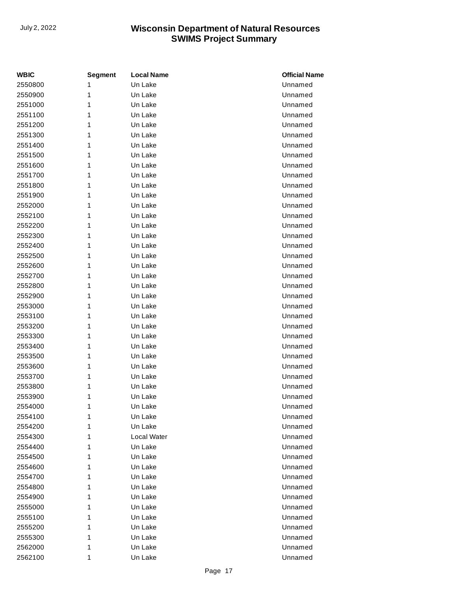| <b>WBIC</b> | <b>Segment</b> | <b>Local Name</b> | <b>Official Name</b> |
|-------------|----------------|-------------------|----------------------|
| 2550800     | 1              | Un Lake           | Unnamed              |
| 2550900     | 1              | Un Lake           | Unnamed              |
| 2551000     | 1              | Un Lake           | Unnamed              |
| 2551100     | 1              | Un Lake           | Unnamed              |
| 2551200     | 1              | Un Lake           | Unnamed              |
| 2551300     | 1              | Un Lake           | Unnamed              |
| 2551400     | 1              | Un Lake           | Unnamed              |
| 2551500     | 1              | Un Lake           | Unnamed              |
| 2551600     | 1              | Un Lake           | Unnamed              |
| 2551700     | 1              | Un Lake           | Unnamed              |
| 2551800     | 1              | Un Lake           | Unnamed              |
| 2551900     | 1              | Un Lake           | Unnamed              |
| 2552000     | 1              | Un Lake           | Unnamed              |
| 2552100     | 1              | Un Lake           | Unnamed              |
| 2552200     | 1              | Un Lake           | Unnamed              |
| 2552300     | 1              | Un Lake           | Unnamed              |
| 2552400     | 1              | Un Lake           | Unnamed              |
| 2552500     | 1              | Un Lake           | Unnamed              |
| 2552600     | 1              | Un Lake           | Unnamed              |
| 2552700     | 1              | Un Lake           | Unnamed              |
| 2552800     | 1              | Un Lake           | Unnamed              |
| 2552900     | 1              | Un Lake           | Unnamed              |
| 2553000     | 1              | Un Lake           | Unnamed              |
| 2553100     | 1              | Un Lake           | Unnamed              |
| 2553200     | 1              | Un Lake           | Unnamed              |
| 2553300     | 1              | Un Lake           | Unnamed              |
| 2553400     | 1              | Un Lake           | Unnamed              |
| 2553500     | 1              | Un Lake           | Unnamed              |
| 2553600     | 1              | Un Lake           | Unnamed              |
| 2553700     | 1              | Un Lake           | Unnamed              |
| 2553800     | 1              | Un Lake           | Unnamed              |
| 2553900     | 1              | Un Lake           | Unnamed              |
| 2554000     | 1              | Un Lake           | Unnamed              |
| 2554100     | 1              | Un Lake           | Unnamed              |
| 2554200     | 1              | Un Lake           | Unnamed              |
| 2554300     | 1              | Local Water       | Unnamed              |
| 2554400     | 1              | Un Lake           | Unnamed              |
| 2554500     | 1              | Un Lake           | Unnamed              |
| 2554600     | 1              | Un Lake           | Unnamed              |
| 2554700     | 1              | Un Lake           | Unnamed              |
| 2554800     | 1              | Un Lake           | Unnamed              |
| 2554900     | 1              | Un Lake           | Unnamed              |
| 2555000     | 1              | Un Lake           | Unnamed              |
| 2555100     | 1              | Un Lake           | Unnamed              |
| 2555200     | 1              | Un Lake           | Unnamed              |
| 2555300     | 1              | Un Lake           | Unnamed              |
| 2562000     | 1              | Un Lake           | Unnamed              |
| 2562100     | 1              | Un Lake           | Unnamed              |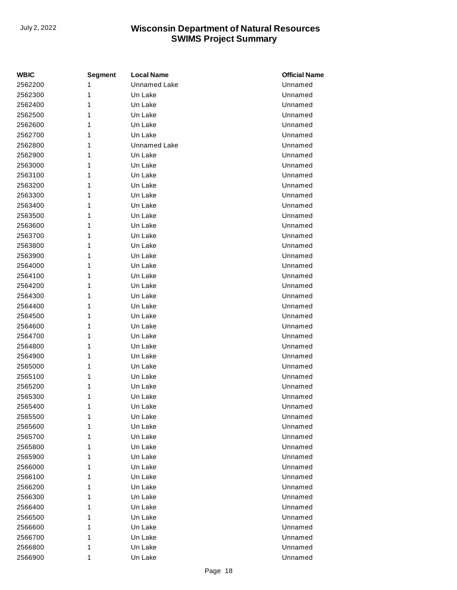| <b>WBIC</b> | <b>Segment</b> | <b>Local Name</b>   | <b>Official Name</b> |
|-------------|----------------|---------------------|----------------------|
| 2562200     | 1              | <b>Unnamed Lake</b> | Unnamed              |
| 2562300     | 1              | Un Lake             | Unnamed              |
| 2562400     | 1              | Un Lake             | Unnamed              |
| 2562500     | 1              | Un Lake             | Unnamed              |
| 2562600     | 1              | Un Lake             | Unnamed              |
| 2562700     | 1              | Un Lake             | Unnamed              |
| 2562800     | 1              | <b>Unnamed Lake</b> | Unnamed              |
| 2562900     | 1              | Un Lake             | Unnamed              |
| 2563000     | 1              | Un Lake             | Unnamed              |
| 2563100     | 1              | Un Lake             | Unnamed              |
| 2563200     | 1              | Un Lake             | Unnamed              |
| 2563300     | 1              | Un Lake             | Unnamed              |
| 2563400     | 1              | Un Lake             | Unnamed              |
| 2563500     | 1              | Un Lake             | Unnamed              |
| 2563600     | 1              | Un Lake             | Unnamed              |
| 2563700     | 1              | Un Lake             | Unnamed              |
| 2563800     | 1              | Un Lake             | Unnamed              |
| 2563900     | 1              | Un Lake             | Unnamed              |
| 2564000     | 1              | Un Lake             | Unnamed              |
| 2564100     | 1              | Un Lake             | Unnamed              |
| 2564200     | 1              | Un Lake             | Unnamed              |
| 2564300     | 1              | Un Lake             | Unnamed              |
| 2564400     | 1              | Un Lake             | Unnamed              |
| 2564500     | 1              | Un Lake             | Unnamed              |
| 2564600     | 1              | Un Lake             | Unnamed              |
| 2564700     | 1              | Un Lake             | Unnamed              |
| 2564800     | 1              | Un Lake             | Unnamed              |
| 2564900     | 1              | Un Lake             | Unnamed              |
| 2565000     | 1              | Un Lake             | Unnamed              |
| 2565100     | 1              | Un Lake             | Unnamed              |
| 2565200     | 1              | Un Lake             | Unnamed              |
| 2565300     | 1              | Un Lake             | Unnamed              |
| 2565400     | 1              | Un Lake             | Unnamed              |
| 2565500     | 1              | Un Lake             | Unnamed              |
| 2565600     | 1              | Un Lake             | Unnamed              |
| 2565700     | 1              | Un Lake             | Unnamed              |
| 2565800     | 1              | Un Lake             | Unnamed              |
| 2565900     | 1              | Un Lake             | Unnamed              |
| 2566000     | 1              | Un Lake             | Unnamed              |
| 2566100     | 1              | Un Lake             | Unnamed              |
| 2566200     | 1              | Un Lake             | Unnamed              |
| 2566300     | 1              | Un Lake             | Unnamed              |
| 2566400     | 1              | Un Lake             | Unnamed              |
| 2566500     | 1              | Un Lake             | Unnamed              |
| 2566600     | 1              | Un Lake             | Unnamed              |
| 2566700     | 1              | Un Lake             | Unnamed              |
| 2566800     | 1              | Un Lake             | Unnamed              |
| 2566900     | 1              | Un Lake             | Unnamed              |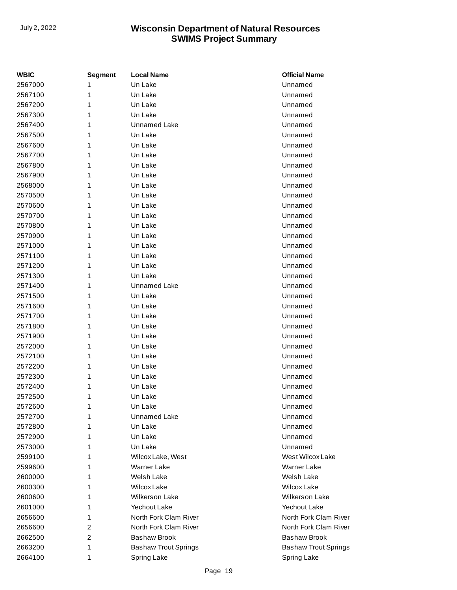| <b>WBIC</b> | Segment        | <b>Local Name</b>           | <b>Official Name</b>        |
|-------------|----------------|-----------------------------|-----------------------------|
| 2567000     | 1              | Un Lake                     | Unnamed                     |
| 2567100     | 1              | Un Lake                     | Unnamed                     |
| 2567200     | 1              | Un Lake                     | Unnamed                     |
| 2567300     | 1              | Un Lake                     | Unnamed                     |
| 2567400     | 1              | Unnamed Lake                | Unnamed                     |
| 2567500     | 1              | Un Lake                     | Unnamed                     |
| 2567600     | 1              | Un Lake                     | Unnamed                     |
| 2567700     | 1              | Un Lake                     | Unnamed                     |
| 2567800     | 1              | Un Lake                     | Unnamed                     |
| 2567900     | 1              | Un Lake                     | Unnamed                     |
| 2568000     | 1              | Un Lake                     | Unnamed                     |
| 2570500     | 1              | Un Lake                     | Unnamed                     |
| 2570600     | 1              | Un Lake                     | Unnamed                     |
| 2570700     | 1              | Un Lake                     | Unnamed                     |
| 2570800     | 1              | Un Lake                     | Unnamed                     |
| 2570900     | 1              | Un Lake                     | Unnamed                     |
| 2571000     | 1              | Un Lake                     | Unnamed                     |
| 2571100     | 1              | Un Lake                     | Unnamed                     |
| 2571200     | 1              | Un Lake                     | Unnamed                     |
| 2571300     | 1              | Un Lake                     | Unnamed                     |
| 2571400     | 1              | Unnamed Lake                | Unnamed                     |
| 2571500     | 1              | Un Lake                     | Unnamed                     |
| 2571600     | 1              | Un Lake                     | Unnamed                     |
| 2571700     | 1              | Un Lake                     | Unnamed                     |
| 2571800     | 1              | Un Lake                     | Unnamed                     |
| 2571900     | 1              | Un Lake                     | Unnamed                     |
| 2572000     | 1              | Un Lake                     | Unnamed                     |
| 2572100     | 1              | Un Lake                     | Unnamed                     |
| 2572200     | 1              | Un Lake                     | Unnamed                     |
| 2572300     | 1              | Un Lake                     | Unnamed                     |
| 2572400     | 1              | Un Lake                     | Unnamed                     |
| 2572500     | 1              | Un Lake                     | Unnamed                     |
| 2572600     | 1              | Un Lake                     | Unnamed                     |
| 2572700     | 1              | Unnamed Lake                | Unnamed                     |
| 2572800     | 1              | Un Lake                     | Unnamed                     |
| 2572900     | 1              | Un Lake                     | Unnamed                     |
| 2573000     | 1              | Un Lake                     | Unnamed                     |
| 2599100     | 1              | Wilcox Lake, West           | <b>West Wilcox Lake</b>     |
| 2599600     | 1              | <b>Warner Lake</b>          | <b>Warner Lake</b>          |
| 2600000     | 1              | <b>Welsh Lake</b>           | Welsh Lake                  |
| 2600300     | 1              | <b>Wilcox Lake</b>          | Wilcox Lake                 |
| 2600600     | 1              | <b>Wilkerson Lake</b>       | <b>Wilkerson Lake</b>       |
| 2601000     | 1              | Yechout Lake                | Yechout Lake                |
| 2656600     | 1              | North Fork Clam River       | North Fork Clam River       |
| 2656600     | $\overline{c}$ | North Fork Clam River       | North Fork Clam River       |
| 2662500     | $\overline{2}$ | <b>Bashaw Brook</b>         | <b>Bashaw Brook</b>         |
| 2663200     | 1              | <b>Bashaw Trout Springs</b> | <b>Bashaw Trout Springs</b> |
| 2664100     | 1              | Spring Lake                 | Spring Lake                 |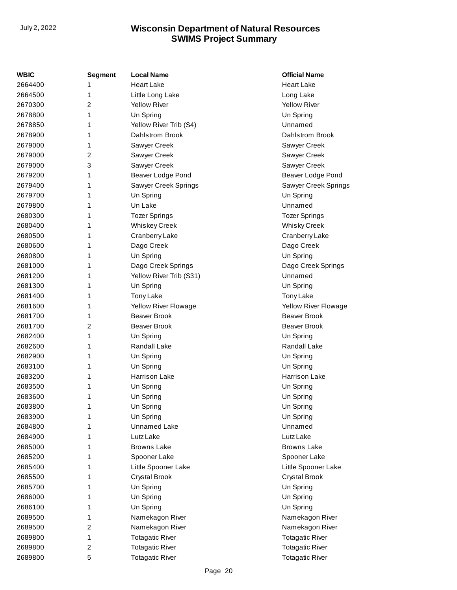| WBIC    | <b>Segment</b>          | <b>Local Name</b>       | <b>Official Name</b>   |
|---------|-------------------------|-------------------------|------------------------|
| 2664400 | 1                       | <b>Heart Lake</b>       | <b>Heart Lake</b>      |
| 2664500 | 1                       | Little Long Lake        | Long Lake              |
| 2670300 | 2                       | <b>Yellow River</b>     | <b>Yellow River</b>    |
| 2678800 | 1                       | Un Spring               | Un Spring              |
| 2678850 | 1                       | Yellow River Trib (S4)  | Unnamed                |
| 2678900 | 1                       | Dahlstrom Brook         | Dahlstrom Brook        |
| 2679000 | 1                       | Sawyer Creek            | Sawyer Creek           |
| 2679000 | 2                       | Sawyer Creek            | Sawyer Creek           |
| 2679000 | 3                       | Sawyer Creek            | Sawyer Creek           |
| 2679200 | 1                       | Beaver Lodge Pond       | Beaver Lodge Pond      |
| 2679400 | 1                       | Sawyer Creek Springs    | Sawyer Creek Springs   |
| 2679700 | 1                       | Un Spring               | Un Spring              |
| 2679800 | 1                       | Un Lake                 | Unnamed                |
| 2680300 | 1                       | <b>Tozer Springs</b>    | <b>Tozer Springs</b>   |
| 2680400 | 1                       | <b>Whiskey Creek</b>    | <b>Whisky Creek</b>    |
| 2680500 | 1                       | Cranberry Lake          | Cranberry Lake         |
| 2680600 | 1                       | Dago Creek              | Dago Creek             |
| 2680800 | 1                       | Un Spring               | Un Spring              |
| 2681000 | 1                       | Dago Creek Springs      | Dago Creek Springs     |
| 2681200 | 1                       | Yellow River Trib (S31) | Unnamed                |
| 2681300 | 1                       | Un Spring               | Un Spring              |
| 2681400 | 1                       | <b>Tony Lake</b>        | Tony Lake              |
| 2681600 | 1                       | Yellow River Flowage    | Yellow River Flowage   |
| 2681700 | 1                       | <b>Beaver Brook</b>     | <b>Beaver Brook</b>    |
| 2681700 | 2                       | <b>Beaver Brook</b>     | <b>Beaver Brook</b>    |
| 2682400 | 1                       | Un Spring               | Un Spring              |
| 2682600 | 1                       | Randall Lake            | Randall Lake           |
| 2682900 | 1                       | Un Spring               | Un Spring              |
| 2683100 | 1                       | Un Spring               | Un Spring              |
| 2683200 | 1                       | Harrison Lake           | Harrison Lake          |
| 2683500 | 1                       | Un Spring               | Un Spring              |
| 2683600 | 1                       | Un Spring               | Un Spring              |
| 2683800 | 1                       | Un Spring               | Un Spring              |
| 2683900 | 1                       | Un Spring               | Un Spring              |
| 2684800 | 1                       | <b>Unnamed Lake</b>     | Unnamed                |
| 2684900 | 1                       | Lutz Lake               | Lutz Lake              |
| 2685000 | 1                       | <b>Browns Lake</b>      | <b>Browns Lake</b>     |
| 2685200 | 1                       | Spooner Lake            | Spooner Lake           |
| 2685400 | 1                       | Little Spooner Lake     | Little Spooner Lake    |
| 2685500 | 1                       | Crystal Brook           | Crystal Brook          |
| 2685700 | 1                       | Un Spring               | Un Spring              |
| 2686000 | 1                       | Un Spring               | Un Spring              |
| 2686100 | 1                       | Un Spring               | Un Spring              |
| 2689500 | 1                       | Namekagon River         | Namekagon River        |
| 2689500 | 2                       | Namekagon River         | Namekagon River        |
| 2689800 | 1                       | <b>Totagatic River</b>  | <b>Totagatic River</b> |
| 2689800 | $\overline{\mathbf{c}}$ | <b>Totagatic River</b>  | <b>Totagatic River</b> |
| 2689800 | 5                       | <b>Totagatic River</b>  | <b>Totagatic River</b> |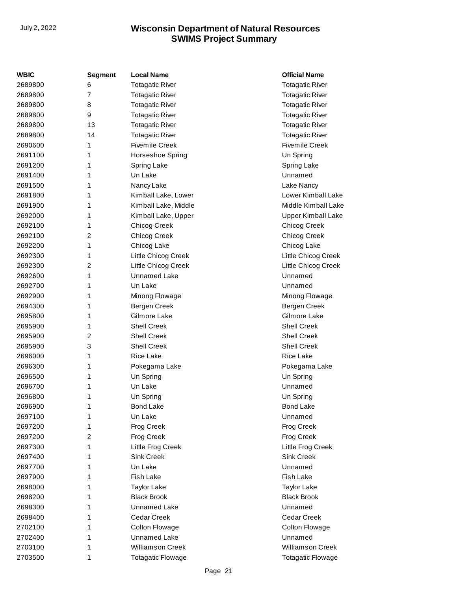| WBIC    | <b>Segment</b> | <b>Local Name</b>        | <b>Official Name</b>      |
|---------|----------------|--------------------------|---------------------------|
| 2689800 | 6              | <b>Totagatic River</b>   | <b>Totagatic River</b>    |
| 2689800 | $\overline{7}$ | <b>Totagatic River</b>   | <b>Totagatic River</b>    |
| 2689800 | 8              | <b>Totagatic River</b>   | <b>Totagatic River</b>    |
| 2689800 | 9              | <b>Totagatic River</b>   | <b>Totagatic River</b>    |
| 2689800 | 13             | <b>Totagatic River</b>   | <b>Totagatic River</b>    |
| 2689800 | 14             | <b>Totagatic River</b>   | <b>Totagatic River</b>    |
| 2690600 | 1              | <b>Fivemile Creek</b>    | Fivemile Creek            |
| 2691100 | 1              | Horseshoe Spring         | Un Spring                 |
| 2691200 | 1              | Spring Lake              | Spring Lake               |
| 2691400 | 1              | Un Lake                  | Unnamed                   |
| 2691500 | 1              | Nancy Lake               | Lake Nancy                |
| 2691800 | 1              | Kimball Lake, Lower      | Lower Kimball Lake        |
| 2691900 | 1              | Kimball Lake, Middle     | Middle Kimball Lake       |
| 2692000 | 1              | Kimball Lake, Upper      | <b>Upper Kimball Lake</b> |
| 2692100 | 1              | Chicog Creek             | Chicog Creek              |
| 2692100 | 2              | Chicog Creek             | Chicog Creek              |
| 2692200 | 1              | Chicog Lake              | Chicog Lake               |
| 2692300 | 1              | Little Chicog Creek      | Little Chicog Creek       |
| 2692300 | 2              | Little Chicog Creek      | Little Chicog Creek       |
| 2692600 | 1              | <b>Unnamed Lake</b>      | Unnamed                   |
| 2692700 | 1              | Un Lake                  | Unnamed                   |
| 2692900 | 1              | Minong Flowage           | Minong Flowage            |
| 2694300 | 1              | Bergen Creek             | Bergen Creek              |
| 2695800 | 1              | Gilmore Lake             | Gilmore Lake              |
| 2695900 | 1              | <b>Shell Creek</b>       | <b>Shell Creek</b>        |
| 2695900 | 2              | <b>Shell Creek</b>       | <b>Shell Creek</b>        |
| 2695900 | 3              | <b>Shell Creek</b>       | <b>Shell Creek</b>        |
| 2696000 | 1              | <b>Rice Lake</b>         | <b>Rice Lake</b>          |
| 2696300 | 1              | Pokegama Lake            | Pokegama Lake             |
| 2696500 | 1              | Un Spring                | Un Spring                 |
| 2696700 | 1              | Un Lake                  | Unnamed                   |
| 2696800 | 1              | Un Spring                | Un Spring                 |
| 2696900 | 1              | Bond Lake                | <b>Bond Lake</b>          |
| 2697100 | 1              | Un Lake                  | Unnamed                   |
| 2697200 | 1              | Frog Creek               | Frog Creek                |
| 2697200 | 2              | Frog Creek               | Frog Creek                |
| 2697300 | 1              | Little Frog Creek        | Little Frog Creek         |
| 2697400 | 1              | Sink Creek               | Sink Creek                |
| 2697700 | 1              | Un Lake                  | Unnamed                   |
| 2697900 | 1              | Fish Lake                | Fish Lake                 |
| 2698000 | 1              | <b>Taylor Lake</b>       | <b>Taylor Lake</b>        |
| 2698200 | 1              | <b>Black Brook</b>       | <b>Black Brook</b>        |
| 2698300 | 1              | Unnamed Lake             | Unnamed                   |
| 2698400 | 1              | <b>Cedar Creek</b>       | <b>Cedar Creek</b>        |
| 2702100 | 1              | Colton Flowage           | Colton Flowage            |
| 2702400 | 1              | <b>Unnamed Lake</b>      | Unnamed                   |
| 2703100 | 1              | <b>Williamson Creek</b>  | <b>Williamson Creek</b>   |
| 2703500 | 1              | <b>Totagatic Flowage</b> | <b>Totagatic Flowage</b>  |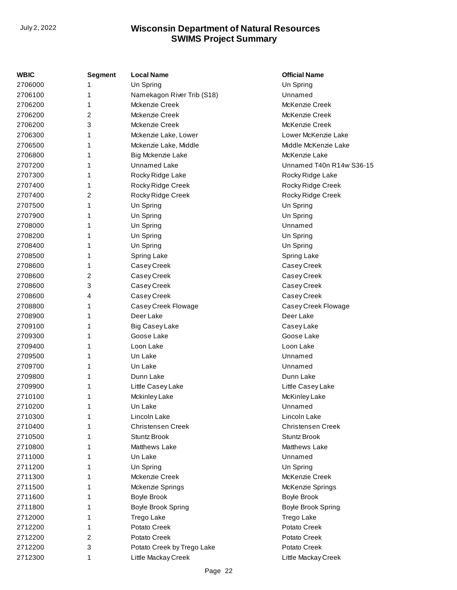| WBIC    | <b>Segment</b> | <b>Local Name</b>          | <b>Official Name</b>     |
|---------|----------------|----------------------------|--------------------------|
| 2706000 | 1              | Un Spring                  | Un Spring                |
| 2706100 | 1              | Namekagon River Trib (S18) | Unnamed                  |
| 2706200 | 1              | Mckenzie Creek             | McKenzie Creek           |
| 2706200 | 2              | Mckenzie Creek             | McKenzie Creek           |
| 2706200 | 3              | Mckenzie Creek             | McKenzie Creek           |
| 2706300 | 1              | Mckenzie Lake, Lower       | Lower McKenzie Lake      |
| 2706500 | 1              | Mckenzie Lake, Middle      | Middle McKenzie Lake     |
| 2706800 | 1              | Big Mckenzie Lake          | McKenzie Lake            |
| 2707200 | 1              | <b>Unnamed Lake</b>        | Unnamed T40n R14w S36-15 |
| 2707300 | 1              | Rocky Ridge Lake           | Rocky Ridge Lake         |
| 2707400 | 1              | Rocky Ridge Creek          | Rocky Ridge Creek        |
| 2707400 | 2              | Rocky Ridge Creek          | Rocky Ridge Creek        |
| 2707500 | 1              | Un Spring                  | Un Spring                |
| 2707900 | 1              | Un Spring                  | Un Spring                |
| 2708000 | 1              | Un Spring                  | Unnamed                  |
| 2708200 | 1              | Un Spring                  | Un Spring                |
| 2708400 | 1              | Un Spring                  | Un Spring                |
| 2708500 | 1              | Spring Lake                | Spring Lake              |
| 2708600 | 1              | Casey Creek                | Casey Creek              |
| 2708600 | 2              | Casey Creek                | Casey Creek              |
| 2708600 | 3              | Casey Creek                | Casey Creek              |
| 2708600 | 4              | Casey Creek                | Casey Creek              |
| 2708800 | 1              | Casey Creek Flowage        | Casey Creek Flowage      |
| 2708900 | 1              | Deer Lake                  | Deer Lake                |
| 2709100 | 1              | <b>Big Casey Lake</b>      | Casey Lake               |
| 2709300 | 1              | Goose Lake                 | Goose Lake               |
| 2709400 | 1              | Loon Lake                  | Loon Lake                |
| 2709500 | 1              | Un Lake                    | Unnamed                  |
| 2709700 | 1              | Un Lake                    | Unnamed                  |
| 2709800 | 1              | Dunn Lake                  | Dunn Lake                |
| 2709900 | 1              | Little Casey Lake          | Little Casey Lake        |
| 2710100 | 1              | Mckinley Lake              | McKinley Lake            |
| 2710200 | 1              | Un Lake                    | Unnamed                  |
| 2710300 | 1              | Lincoln Lake               | Lincoln Lake             |
| 2710400 | 1              | <b>Christensen Creek</b>   | <b>Christensen Creek</b> |
| 2710500 | 1              | Stuntz Brook               | <b>Stuntz Brook</b>      |
| 2710800 | 1              | Matthews Lake              | Matthews Lake            |
| 2711000 | 1              | Un Lake                    | Unnamed                  |
| 2711200 | 1              | Un Spring                  | Un Spring                |
| 2711300 | 1              | Mckenzie Creek             | McKenzie Creek           |
| 2711500 | 1              | Mckenzie Springs           | McKenzie Springs         |
| 2711600 | 1              | <b>Boyle Brook</b>         | Boyle Brook              |
| 2711800 | 1              | Boyle Brook Spring         | Boyle Brook Spring       |
| 2712000 | 1              | Trego Lake                 | Trego Lake               |
| 2712200 | 1              | Potato Creek               | Potato Creek             |
| 2712200 | 2              | Potato Creek               | Potato Creek             |
| 2712200 | 3              | Potato Creek by Trego Lake | Potato Creek             |
| 2712300 | 1              | Little Mackay Creek        | Little Mackay Creek      |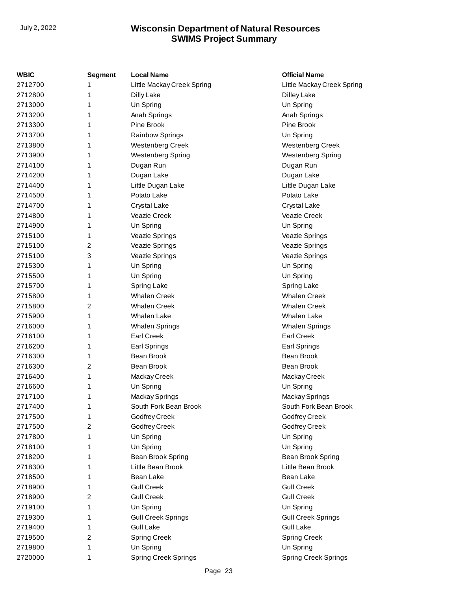| <b>WBIC</b> | <b>Segment</b> | <b>Local Name</b>           | <b>Official Name</b>        |
|-------------|----------------|-----------------------------|-----------------------------|
| 2712700     | 1              | Little Mackay Creek Spring  | Little Mackay Creek Spring  |
| 2712800     | 1              | Dilly Lake                  | Dilley Lake                 |
| 2713000     | 1              | Un Spring                   | Un Spring                   |
| 2713200     | 1              | Anah Springs                | Anah Springs                |
| 2713300     | 1              | Pine Brook                  | Pine Brook                  |
| 2713700     | 1              | <b>Rainbow Springs</b>      | Un Spring                   |
| 2713800     | 1              | <b>Westenberg Creek</b>     | <b>Westenberg Creek</b>     |
| 2713900     | 1              | <b>Westenberg Spring</b>    | <b>Westenberg Spring</b>    |
| 2714100     | 1              | Dugan Run                   | Dugan Run                   |
| 2714200     | 1              | Dugan Lake                  | Dugan Lake                  |
| 2714400     | 1              | Little Dugan Lake           | Little Dugan Lake           |
| 2714500     | 1              | Potato Lake                 | Potato Lake                 |
| 2714700     | 1              | Crystal Lake                | Crystal Lake                |
| 2714800     | 1              | Veazie Creek                | Veazie Creek                |
| 2714900     | 1              | Un Spring                   | Un Spring                   |
| 2715100     | 1              | Veazie Springs              | Veazie Springs              |
| 2715100     | 2              | Veazie Springs              | Veazie Springs              |
| 2715100     | 3              | Veazie Springs              | Veazie Springs              |
| 2715300     | 1              | Un Spring                   | Un Spring                   |
| 2715500     | 1              | Un Spring                   | Un Spring                   |
| 2715700     | 1              | Spring Lake                 | Spring Lake                 |
| 2715800     | 1              | <b>Whalen Creek</b>         | <b>Whalen Creek</b>         |
| 2715800     | $\overline{2}$ | <b>Whalen Creek</b>         | <b>Whalen Creek</b>         |
| 2715900     | 1              | <b>Whalen Lake</b>          | <b>Whalen Lake</b>          |
| 2716000     | 1              | <b>Whalen Springs</b>       | <b>Whalen Springs</b>       |
| 2716100     | 1              | <b>Earl Creek</b>           | <b>Earl Creek</b>           |
| 2716200     | 1              | Earl Springs                | Earl Springs                |
| 2716300     | 1              | Bean Brook                  | Bean Brook                  |
| 2716300     | 2              | Bean Brook                  | Bean Brook                  |
| 2716400     | 1              | Mackay Creek                | Mackay Creek                |
| 2716600     | 1              | Un Spring                   | Un Spring                   |
| 2717100     | 1              | Mackay Springs              | Mackay Springs              |
| 2717400     | 1              | South Fork Bean Brook       | South Fork Bean Brook       |
| 2717500     | 1              | <b>Godfrey Creek</b>        | <b>Godfrey Creek</b>        |
| 2717500     | 2              | Godfrey Creek               | <b>Godfrey Creek</b>        |
| 2717800     | 1              | Un Spring                   | Un Spring                   |
| 2718100     | 1              | Un Spring                   | Un Spring                   |
| 2718200     | 1              | Bean Brook Spring           | Bean Brook Spring           |
| 2718300     | 1              | Little Bean Brook           | Little Bean Brook           |
| 2718500     | 1              | Bean Lake                   | Bean Lake                   |
| 2718900     | 1              | <b>Gull Creek</b>           | <b>Gull Creek</b>           |
| 2718900     | 2              | <b>Gull Creek</b>           | <b>Gull Creek</b>           |
| 2719100     | 1              | Un Spring                   | Un Spring                   |
| 2719300     | 1              | <b>Gull Creek Springs</b>   | <b>Gull Creek Springs</b>   |
| 2719400     | 1              | <b>Gull Lake</b>            | <b>Gull Lake</b>            |
| 2719500     | 2              | <b>Spring Creek</b>         | <b>Spring Creek</b>         |
| 2719800     | 1              | Un Spring                   | Un Spring                   |
| 2720000     | 1              | <b>Spring Creek Springs</b> | <b>Spring Creek Springs</b> |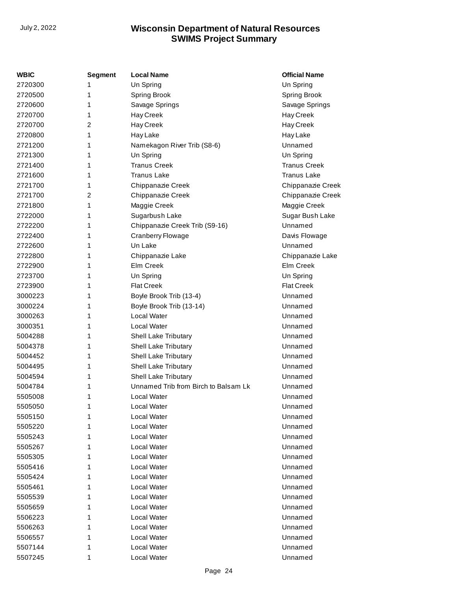| <b>WBIC</b> | <b>Segment</b> | <b>Local Name</b>                    | <b>Official Name</b> |
|-------------|----------------|--------------------------------------|----------------------|
| 2720300     | 1              | Un Spring                            | Un Spring            |
| 2720500     | 1              | <b>Spring Brook</b>                  | <b>Spring Brook</b>  |
| 2720600     | 1              | Savage Springs                       | Savage Springs       |
| 2720700     | 1              | Hay Creek                            | Hay Creek            |
| 2720700     | 2              | Hay Creek                            | Hay Creek            |
| 2720800     | 1              | Hay Lake                             | Hay Lake             |
| 2721200     | 1              | Namekagon River Trib (S8-6)          | Unnamed              |
| 2721300     | 1              | Un Spring                            | Un Spring            |
| 2721400     | 1              | <b>Tranus Creek</b>                  | <b>Tranus Creek</b>  |
| 2721600     | 1              | <b>Tranus Lake</b>                   | <b>Tranus Lake</b>   |
| 2721700     | 1              | Chippanazie Creek                    | Chippanazie Creek    |
| 2721700     | 2              | Chippanazie Creek                    | Chippanazie Creek    |
| 2721800     | 1              | Maggie Creek                         | Maggie Creek         |
| 2722000     | 1              | Sugarbush Lake                       | Sugar Bush Lake      |
| 2722200     | 1              | Chippanazie Creek Trib (S9-16)       | Unnamed              |
| 2722400     | 1              | Cranberry Flowage                    | Davis Flowage        |
| 2722600     | 1              | Un Lake                              | Unnamed              |
| 2722800     | 1              | Chippanazie Lake                     | Chippanazie Lake     |
| 2722900     | 1              | Elm Creek                            | Elm Creek            |
| 2723700     | 1              | Un Spring                            | Un Spring            |
| 2723900     | 1              | <b>Flat Creek</b>                    | <b>Flat Creek</b>    |
| 3000223     | 1              | Boyle Brook Trib (13-4)              | Unnamed              |
| 3000224     | 1              | Boyle Brook Trib (13-14)             | Unnamed              |
| 3000263     | 1              | Local Water                          | Unnamed              |
| 3000351     | 1              | Local Water                          | Unnamed              |
| 5004288     | 1              | Shell Lake Tributary                 | Unnamed              |
| 5004378     | 1              | Shell Lake Tributary                 | Unnamed              |
| 5004452     | 1              | Shell Lake Tributary                 | Unnamed              |
| 5004495     | 1              | Shell Lake Tributary                 | Unnamed              |
| 5004594     | 1              | <b>Shell Lake Tributary</b>          | Unnamed              |
| 5004784     | 1              | Unnamed Trib from Birch to Balsam Lk | Unnamed              |
| 5505008     | 1              | Local Water                          | Unnamed              |
| 5505050     | 1              | Local Water                          | Unnamed              |
| 5505150     | 1              | Local Water                          | Unnamed              |
| 5505220     | 1              | Local Water                          | Unnamed              |
| 5505243     | 1              | <b>Local Water</b>                   | Unnamed              |
| 5505267     | 1              | Local Water                          | Unnamed              |
| 5505305     | 1              | <b>Local Water</b>                   | Unnamed              |
| 5505416     | 1              | <b>Local Water</b>                   | Unnamed              |
| 5505424     | 1              | Local Water                          | Unnamed              |
| 5505461     | 1              | Local Water                          | Unnamed              |
| 5505539     | 1              | Local Water                          | Unnamed              |
| 5505659     | 1              | <b>Local Water</b>                   | Unnamed              |
| 5506223     | 1              | Local Water                          | Unnamed              |
| 5506263     | 1              | Local Water                          | Unnamed              |
| 5506557     | 1              | Local Water                          | Unnamed              |
| 5507144     | 1              | Local Water                          | Unnamed              |
| 5507245     | 1              | Local Water                          | Unnamed              |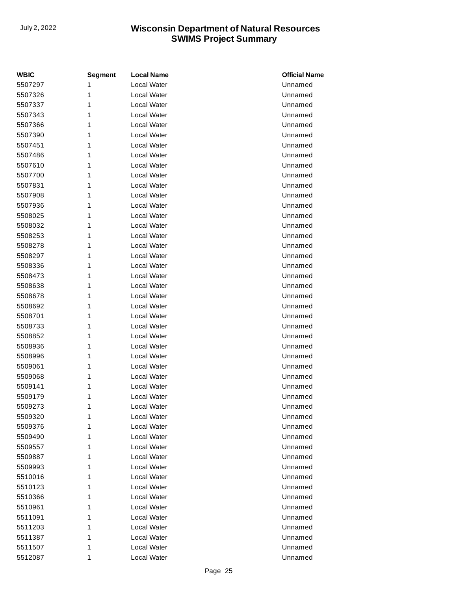| <b>WBIC</b> | <b>Segment</b> | <b>Local Name</b>  | <b>Official Name</b> |
|-------------|----------------|--------------------|----------------------|
| 5507297     | 1              | <b>Local Water</b> | Unnamed              |
| 5507326     | 1              | Local Water        | Unnamed              |
| 5507337     | 1              | Local Water        | Unnamed              |
| 5507343     | 1              | Local Water        | Unnamed              |
| 5507366     | 1              | Local Water        | Unnamed              |
| 5507390     | 1              | <b>Local Water</b> | Unnamed              |
| 5507451     | 1              | Local Water        | Unnamed              |
| 5507486     | 1              | Local Water        | Unnamed              |
| 5507610     | 1              | Local Water        | Unnamed              |
| 5507700     | 1              | Local Water        | Unnamed              |
| 5507831     | 1              | Local Water        | Unnamed              |
| 5507908     | 1              | Local Water        | Unnamed              |
| 5507936     | 1              | Local Water        | Unnamed              |
| 5508025     | 1              | <b>Local Water</b> | Unnamed              |
| 5508032     | 1              | Local Water        | Unnamed              |
| 5508253     | 1              | Local Water        | Unnamed              |
| 5508278     | 1              | Local Water        | Unnamed              |
| 5508297     | 1              | Local Water        | Unnamed              |
| 5508336     | 1              | Local Water        | Unnamed              |
| 5508473     | 1              | Local Water        | Unnamed              |
| 5508638     | 1              | Local Water        | Unnamed              |
| 5508678     | 1              | <b>Local Water</b> | Unnamed              |
| 5508692     | 1              | Local Water        | Unnamed              |
| 5508701     | 1              | Local Water        | Unnamed              |
| 5508733     | 1              | Local Water        | Unnamed              |
| 5508852     | 1              | Local Water        | Unnamed              |
| 5508936     | 1              | Local Water        | Unnamed              |
| 5508996     | 1              | Local Water        | Unnamed              |
| 5509061     | 1              | Local Water        | Unnamed              |
| 5509068     | 1              | Local Water        | Unnamed              |
| 5509141     | 1              | Local Water        | Unnamed              |
| 5509179     | 1              | Local Water        | Unnamed              |
| 5509273     | 1              | Local Water        | Unnamed              |
| 5509320     | 1              | <b>Local Water</b> | Unnamed              |
| 5509376     | 1              | Local Water        | Unnamed              |
| 5509490     | 1              | Local Water        | Unnamed              |
| 5509557     | 1              | Local Water        | Unnamed              |
| 5509887     | 1              | Local Water        | Unnamed              |
| 5509993     | 1              | Local Water        | Unnamed              |
| 5510016     | 1              | Local Water        | Unnamed              |
| 5510123     | 1              | Local Water        | Unnamed              |
| 5510366     | 1              | Local Water        | Unnamed              |
| 5510961     | 1              | Local Water        | Unnamed              |
| 5511091     | 1              | Local Water        | Unnamed              |
| 5511203     | 1              | Local Water        | Unnamed              |
| 5511387     | 1              | Local Water        | Unnamed              |
| 5511507     | 1              | Local Water        | Unnamed              |
| 5512087     | 1              | Local Water        | Unnamed              |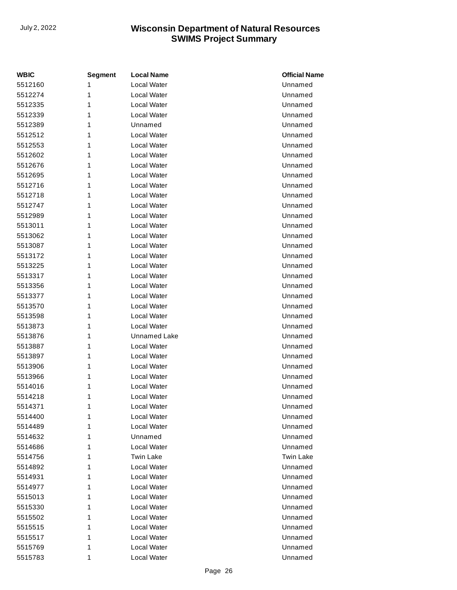| WBIC    | <b>Segment</b> | <b>Local Name</b>   | <b>Official Name</b> |
|---------|----------------|---------------------|----------------------|
| 5512160 | 1              | Local Water         | Unnamed              |
| 5512274 | 1              | Local Water         | Unnamed              |
| 5512335 | 1              | Local Water         | Unnamed              |
| 5512339 | 1              | Local Water         | Unnamed              |
| 5512389 | 1              | Unnamed             | Unnamed              |
| 5512512 | 1              | Local Water         | Unnamed              |
| 5512553 | 1              | Local Water         | Unnamed              |
| 5512602 | 1              | Local Water         | Unnamed              |
| 5512676 | 1              | <b>Local Water</b>  | Unnamed              |
| 5512695 | 1              | Local Water         | Unnamed              |
| 5512716 | 1              | Local Water         | Unnamed              |
| 5512718 | 1              | Local Water         | Unnamed              |
| 5512747 | 1              | Local Water         | Unnamed              |
| 5512989 | 1              | Local Water         | Unnamed              |
| 5513011 | 1              | Local Water         | Unnamed              |
| 5513062 | 1              | Local Water         | Unnamed              |
| 5513087 | 1              | <b>Local Water</b>  | Unnamed              |
| 5513172 | 1              | Local Water         | Unnamed              |
| 5513225 | 1              | Local Water         | Unnamed              |
| 5513317 | 1              | Local Water         | Unnamed              |
| 5513356 | 1              | Local Water         | Unnamed              |
| 5513377 | 1              | Local Water         | Unnamed              |
| 5513570 | 1              | Local Water         | Unnamed              |
| 5513598 | 1              | Local Water         | Unnamed              |
| 5513873 | 1              | Local Water         | Unnamed              |
| 5513876 | 1              | <b>Unnamed Lake</b> | Unnamed              |
| 5513887 | 1              | Local Water         | Unnamed              |
| 5513897 | 1              | Local Water         | Unnamed              |
| 5513906 | 1              | Local Water         | Unnamed              |
| 5513966 | 1              | Local Water         | Unnamed              |
| 5514016 | 1              | Local Water         | Unnamed              |
| 5514218 | 1              | Local Water         | Unnamed              |
| 5514371 | 1              | Local Water         | Unnamed              |
| 5514400 | 1              | Local Water         | Unnamed              |
| 5514489 | 1              | Local Water         | Unnamed              |
| 5514632 | 1              | Unnamed             | Unnamed              |
| 5514686 | 1              | Local Water         | Unnamed              |
| 5514756 | 1              | <b>Twin Lake</b>    | <b>Twin Lake</b>     |
| 5514892 | 1              | Local Water         | Unnamed              |
| 5514931 | 1              | Local Water         | Unnamed              |
| 5514977 | 1              | Local Water         | Unnamed              |
| 5515013 | 1              | Local Water         | Unnamed              |
| 5515330 | 1              | Local Water         | Unnamed              |
| 5515502 | 1              | Local Water         | Unnamed              |
| 5515515 | 1              | Local Water         | Unnamed              |
| 5515517 | 1              | Local Water         | Unnamed              |
| 5515769 | 1              | Local Water         | Unnamed              |
| 5515783 | 1              | Local Water         | Unnamed              |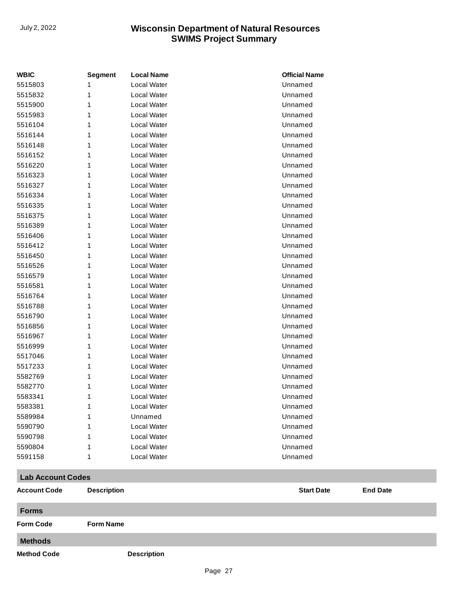| Local Water<br>Unnamed<br>5515803<br>1<br>5515832<br>Local Water<br>Unnamed<br>1<br>5515900<br>Local Water<br>Unnamed<br>1<br>5515983<br>Local Water<br>Unnamed<br>1<br>Unnamed<br>5516104<br>Local Water<br>1<br>5516144<br>Local Water<br>Unnamed<br>1<br>5516148<br>Local Water<br>Unnamed<br>1<br>Local Water<br>Unnamed<br>5516152<br>1<br>Unnamed<br>5516220<br>Local Water<br>1<br>5516323<br>Local Water<br>Unnamed<br>1<br>5516327<br>Local Water<br>Unnamed<br>1<br>5516334<br>Local Water<br>Unnamed<br>1<br>Unnamed<br>5516335<br>Local Water<br>1<br>5516375<br>Local Water<br>Unnamed<br>1<br>5516389<br>Local Water<br>Unnamed<br>1<br>Local Water<br>Unnamed<br>5516406<br>1<br>Unnamed<br>5516412<br>Local Water<br>1<br>Local Water<br>Unnamed<br>5516450<br>1<br>5516526<br>Local Water<br>Unnamed<br>1<br>5516579<br>Local Water<br>Unnamed<br>1<br>Unnamed<br>5516581<br>Local Water<br>1<br>5516764<br>Local Water<br>Unnamed<br>1<br>5516788<br>Local Water<br>Unnamed<br>1<br>Local Water<br>Unnamed<br>5516790<br>1<br>Unnamed<br>5516856<br>Local Water<br>1<br>Local Water<br>Unnamed<br>5516967<br>1<br>5516999<br>Local Water<br>Unnamed<br>1<br>5517046<br>Local Water<br>Unnamed<br>1<br>5517233<br>Local Water<br>Unnamed<br>1<br>5582769<br>Local Water<br>Unnamed<br>1<br>Local Water<br>5582770<br>Unnamed<br>1<br>Local Water<br>5583341<br>Unnamed<br>1<br>Local Water<br>5583381<br>Unnamed<br>1<br>5589984<br>Unnamed<br>Unnamed<br>5590790<br>Local Water<br>Unnamed<br>Local Water<br>5590798<br>Unnamed<br>Local Water<br>Unnamed<br>5590804<br>Local Water<br>5591158<br>Unnamed<br>1 | <b>WBIC</b> | Segment | <b>Local Name</b> | <b>Official Name</b> |
|----------------------------------------------------------------------------------------------------------------------------------------------------------------------------------------------------------------------------------------------------------------------------------------------------------------------------------------------------------------------------------------------------------------------------------------------------------------------------------------------------------------------------------------------------------------------------------------------------------------------------------------------------------------------------------------------------------------------------------------------------------------------------------------------------------------------------------------------------------------------------------------------------------------------------------------------------------------------------------------------------------------------------------------------------------------------------------------------------------------------------------------------------------------------------------------------------------------------------------------------------------------------------------------------------------------------------------------------------------------------------------------------------------------------------------------------------------------------------------------------------------------------------------------------------------------------------------------------------------------------------------|-------------|---------|-------------------|----------------------|
|                                                                                                                                                                                                                                                                                                                                                                                                                                                                                                                                                                                                                                                                                                                                                                                                                                                                                                                                                                                                                                                                                                                                                                                                                                                                                                                                                                                                                                                                                                                                                                                                                                  |             |         |                   |                      |
|                                                                                                                                                                                                                                                                                                                                                                                                                                                                                                                                                                                                                                                                                                                                                                                                                                                                                                                                                                                                                                                                                                                                                                                                                                                                                                                                                                                                                                                                                                                                                                                                                                  |             |         |                   |                      |
|                                                                                                                                                                                                                                                                                                                                                                                                                                                                                                                                                                                                                                                                                                                                                                                                                                                                                                                                                                                                                                                                                                                                                                                                                                                                                                                                                                                                                                                                                                                                                                                                                                  |             |         |                   |                      |
|                                                                                                                                                                                                                                                                                                                                                                                                                                                                                                                                                                                                                                                                                                                                                                                                                                                                                                                                                                                                                                                                                                                                                                                                                                                                                                                                                                                                                                                                                                                                                                                                                                  |             |         |                   |                      |
|                                                                                                                                                                                                                                                                                                                                                                                                                                                                                                                                                                                                                                                                                                                                                                                                                                                                                                                                                                                                                                                                                                                                                                                                                                                                                                                                                                                                                                                                                                                                                                                                                                  |             |         |                   |                      |
|                                                                                                                                                                                                                                                                                                                                                                                                                                                                                                                                                                                                                                                                                                                                                                                                                                                                                                                                                                                                                                                                                                                                                                                                                                                                                                                                                                                                                                                                                                                                                                                                                                  |             |         |                   |                      |
|                                                                                                                                                                                                                                                                                                                                                                                                                                                                                                                                                                                                                                                                                                                                                                                                                                                                                                                                                                                                                                                                                                                                                                                                                                                                                                                                                                                                                                                                                                                                                                                                                                  |             |         |                   |                      |
|                                                                                                                                                                                                                                                                                                                                                                                                                                                                                                                                                                                                                                                                                                                                                                                                                                                                                                                                                                                                                                                                                                                                                                                                                                                                                                                                                                                                                                                                                                                                                                                                                                  |             |         |                   |                      |
|                                                                                                                                                                                                                                                                                                                                                                                                                                                                                                                                                                                                                                                                                                                                                                                                                                                                                                                                                                                                                                                                                                                                                                                                                                                                                                                                                                                                                                                                                                                                                                                                                                  |             |         |                   |                      |
|                                                                                                                                                                                                                                                                                                                                                                                                                                                                                                                                                                                                                                                                                                                                                                                                                                                                                                                                                                                                                                                                                                                                                                                                                                                                                                                                                                                                                                                                                                                                                                                                                                  |             |         |                   |                      |
|                                                                                                                                                                                                                                                                                                                                                                                                                                                                                                                                                                                                                                                                                                                                                                                                                                                                                                                                                                                                                                                                                                                                                                                                                                                                                                                                                                                                                                                                                                                                                                                                                                  |             |         |                   |                      |
|                                                                                                                                                                                                                                                                                                                                                                                                                                                                                                                                                                                                                                                                                                                                                                                                                                                                                                                                                                                                                                                                                                                                                                                                                                                                                                                                                                                                                                                                                                                                                                                                                                  |             |         |                   |                      |
|                                                                                                                                                                                                                                                                                                                                                                                                                                                                                                                                                                                                                                                                                                                                                                                                                                                                                                                                                                                                                                                                                                                                                                                                                                                                                                                                                                                                                                                                                                                                                                                                                                  |             |         |                   |                      |
|                                                                                                                                                                                                                                                                                                                                                                                                                                                                                                                                                                                                                                                                                                                                                                                                                                                                                                                                                                                                                                                                                                                                                                                                                                                                                                                                                                                                                                                                                                                                                                                                                                  |             |         |                   |                      |
|                                                                                                                                                                                                                                                                                                                                                                                                                                                                                                                                                                                                                                                                                                                                                                                                                                                                                                                                                                                                                                                                                                                                                                                                                                                                                                                                                                                                                                                                                                                                                                                                                                  |             |         |                   |                      |
|                                                                                                                                                                                                                                                                                                                                                                                                                                                                                                                                                                                                                                                                                                                                                                                                                                                                                                                                                                                                                                                                                                                                                                                                                                                                                                                                                                                                                                                                                                                                                                                                                                  |             |         |                   |                      |
|                                                                                                                                                                                                                                                                                                                                                                                                                                                                                                                                                                                                                                                                                                                                                                                                                                                                                                                                                                                                                                                                                                                                                                                                                                                                                                                                                                                                                                                                                                                                                                                                                                  |             |         |                   |                      |
|                                                                                                                                                                                                                                                                                                                                                                                                                                                                                                                                                                                                                                                                                                                                                                                                                                                                                                                                                                                                                                                                                                                                                                                                                                                                                                                                                                                                                                                                                                                                                                                                                                  |             |         |                   |                      |
|                                                                                                                                                                                                                                                                                                                                                                                                                                                                                                                                                                                                                                                                                                                                                                                                                                                                                                                                                                                                                                                                                                                                                                                                                                                                                                                                                                                                                                                                                                                                                                                                                                  |             |         |                   |                      |
|                                                                                                                                                                                                                                                                                                                                                                                                                                                                                                                                                                                                                                                                                                                                                                                                                                                                                                                                                                                                                                                                                                                                                                                                                                                                                                                                                                                                                                                                                                                                                                                                                                  |             |         |                   |                      |
|                                                                                                                                                                                                                                                                                                                                                                                                                                                                                                                                                                                                                                                                                                                                                                                                                                                                                                                                                                                                                                                                                                                                                                                                                                                                                                                                                                                                                                                                                                                                                                                                                                  |             |         |                   |                      |
|                                                                                                                                                                                                                                                                                                                                                                                                                                                                                                                                                                                                                                                                                                                                                                                                                                                                                                                                                                                                                                                                                                                                                                                                                                                                                                                                                                                                                                                                                                                                                                                                                                  |             |         |                   |                      |
|                                                                                                                                                                                                                                                                                                                                                                                                                                                                                                                                                                                                                                                                                                                                                                                                                                                                                                                                                                                                                                                                                                                                                                                                                                                                                                                                                                                                                                                                                                                                                                                                                                  |             |         |                   |                      |
|                                                                                                                                                                                                                                                                                                                                                                                                                                                                                                                                                                                                                                                                                                                                                                                                                                                                                                                                                                                                                                                                                                                                                                                                                                                                                                                                                                                                                                                                                                                                                                                                                                  |             |         |                   |                      |
|                                                                                                                                                                                                                                                                                                                                                                                                                                                                                                                                                                                                                                                                                                                                                                                                                                                                                                                                                                                                                                                                                                                                                                                                                                                                                                                                                                                                                                                                                                                                                                                                                                  |             |         |                   |                      |
|                                                                                                                                                                                                                                                                                                                                                                                                                                                                                                                                                                                                                                                                                                                                                                                                                                                                                                                                                                                                                                                                                                                                                                                                                                                                                                                                                                                                                                                                                                                                                                                                                                  |             |         |                   |                      |
|                                                                                                                                                                                                                                                                                                                                                                                                                                                                                                                                                                                                                                                                                                                                                                                                                                                                                                                                                                                                                                                                                                                                                                                                                                                                                                                                                                                                                                                                                                                                                                                                                                  |             |         |                   |                      |
|                                                                                                                                                                                                                                                                                                                                                                                                                                                                                                                                                                                                                                                                                                                                                                                                                                                                                                                                                                                                                                                                                                                                                                                                                                                                                                                                                                                                                                                                                                                                                                                                                                  |             |         |                   |                      |
|                                                                                                                                                                                                                                                                                                                                                                                                                                                                                                                                                                                                                                                                                                                                                                                                                                                                                                                                                                                                                                                                                                                                                                                                                                                                                                                                                                                                                                                                                                                                                                                                                                  |             |         |                   |                      |
|                                                                                                                                                                                                                                                                                                                                                                                                                                                                                                                                                                                                                                                                                                                                                                                                                                                                                                                                                                                                                                                                                                                                                                                                                                                                                                                                                                                                                                                                                                                                                                                                                                  |             |         |                   |                      |
|                                                                                                                                                                                                                                                                                                                                                                                                                                                                                                                                                                                                                                                                                                                                                                                                                                                                                                                                                                                                                                                                                                                                                                                                                                                                                                                                                                                                                                                                                                                                                                                                                                  |             |         |                   |                      |
|                                                                                                                                                                                                                                                                                                                                                                                                                                                                                                                                                                                                                                                                                                                                                                                                                                                                                                                                                                                                                                                                                                                                                                                                                                                                                                                                                                                                                                                                                                                                                                                                                                  |             |         |                   |                      |
|                                                                                                                                                                                                                                                                                                                                                                                                                                                                                                                                                                                                                                                                                                                                                                                                                                                                                                                                                                                                                                                                                                                                                                                                                                                                                                                                                                                                                                                                                                                                                                                                                                  |             |         |                   |                      |
|                                                                                                                                                                                                                                                                                                                                                                                                                                                                                                                                                                                                                                                                                                                                                                                                                                                                                                                                                                                                                                                                                                                                                                                                                                                                                                                                                                                                                                                                                                                                                                                                                                  |             |         |                   |                      |
|                                                                                                                                                                                                                                                                                                                                                                                                                                                                                                                                                                                                                                                                                                                                                                                                                                                                                                                                                                                                                                                                                                                                                                                                                                                                                                                                                                                                                                                                                                                                                                                                                                  |             |         |                   |                      |
|                                                                                                                                                                                                                                                                                                                                                                                                                                                                                                                                                                                                                                                                                                                                                                                                                                                                                                                                                                                                                                                                                                                                                                                                                                                                                                                                                                                                                                                                                                                                                                                                                                  |             |         |                   |                      |
|                                                                                                                                                                                                                                                                                                                                                                                                                                                                                                                                                                                                                                                                                                                                                                                                                                                                                                                                                                                                                                                                                                                                                                                                                                                                                                                                                                                                                                                                                                                                                                                                                                  |             |         |                   |                      |
|                                                                                                                                                                                                                                                                                                                                                                                                                                                                                                                                                                                                                                                                                                                                                                                                                                                                                                                                                                                                                                                                                                                                                                                                                                                                                                                                                                                                                                                                                                                                                                                                                                  |             |         |                   |                      |
| <b>Lab Account Codes</b>                                                                                                                                                                                                                                                                                                                                                                                                                                                                                                                                                                                                                                                                                                                                                                                                                                                                                                                                                                                                                                                                                                                                                                                                                                                                                                                                                                                                                                                                                                                                                                                                         |             |         |                   |                      |

**Account Code Description Start Date End Date Forms Form Code Form Name Methods Method Code Description**